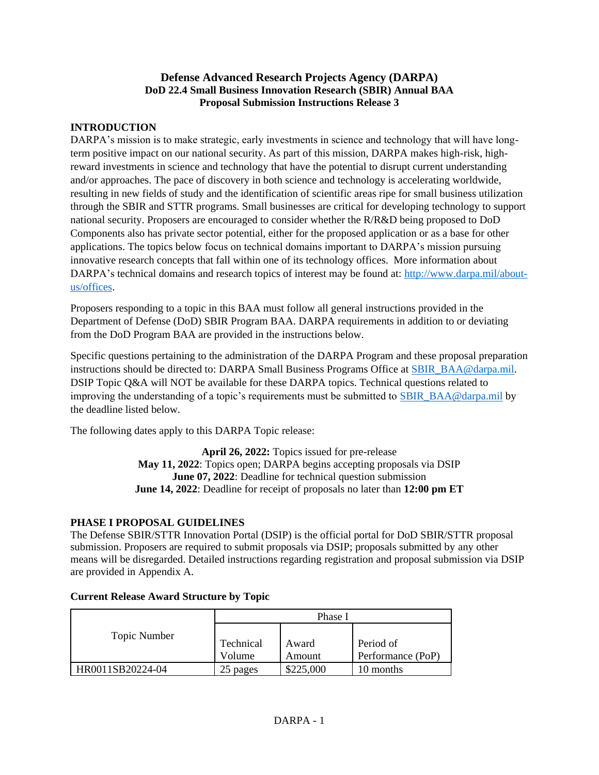## **Defense Advanced Research Projects Agency (DARPA) DoD 22.4 Small Business Innovation Research (SBIR) Annual BAA Proposal Submission Instructions Release 3**

## **INTRODUCTION**

DARPA's mission is to make strategic, early investments in science and technology that will have longterm positive impact on our national security. As part of this mission, DARPA makes high-risk, highreward investments in science and technology that have the potential to disrupt current understanding and/or approaches. The pace of discovery in both science and technology is accelerating worldwide, resulting in new fields of study and the identification of scientific areas ripe for small business utilization through the SBIR and STTR programs. Small businesses are critical for developing technology to support national security. Proposers are encouraged to consider whether the R/R&D being proposed to DoD Components also has private sector potential, either for the proposed application or as a base for other applications. The topics below focus on technical domains important to DARPA's mission pursuing innovative research concepts that fall within one of its technology offices. More information about DARPA's technical domains and research topics of interest may be found at: [http://www.darpa.mil/about](http://www.darpa.mil/about-us/offices)[us/offices.](http://www.darpa.mil/about-us/offices)

Proposers responding to a topic in this BAA must follow all general instructions provided in the Department of Defense (DoD) SBIR Program BAA. DARPA requirements in addition to or deviating from the DoD Program BAA are provided in the instructions below.

Specific questions pertaining to the administration of the DARPA Program and these proposal preparation instructions should be directed to: DARPA Small Business Programs Office at [SBIR\\_BAA@darpa.mil.](mailto:SBIR_BAA@darpa.mil) DSIP Topic Q&A will NOT be available for these DARPA topics. Technical questions related to improving the understanding of a topic's requirements must be submitted to [SBIR\\_BAA@darpa.mil](mailto:SBIR_BAA@darpa.mil) by the deadline listed below.

The following dates apply to this DARPA Topic release:

**April 26, 2022:** Topics issued for pre-release **May 11, 2022**: Topics open; DARPA begins accepting proposals via DSIP **June 07, 2022**: Deadline for technical question submission **June 14, 2022**: Deadline for receipt of proposals no later than **12:00 pm ET**

# **PHASE I PROPOSAL GUIDELINES**

The Defense SBIR/STTR Innovation Portal (DSIP) is the official portal for DoD SBIR/STTR proposal submission. Proposers are required to submit proposals via DSIP; proposals submitted by any other means will be disregarded. Detailed instructions regarding registration and proposal submission via DSIP are provided in Appendix A.

|                  | Phase I             |                 |                                |
|------------------|---------------------|-----------------|--------------------------------|
| Topic Number     | Technical<br>Volume | Award<br>Amount | Period of<br>Performance (PoP) |
| HR0011SB20224-04 | 25 pages            | \$225,000       | 10 months                      |

## **Current Release Award Structure by Topic**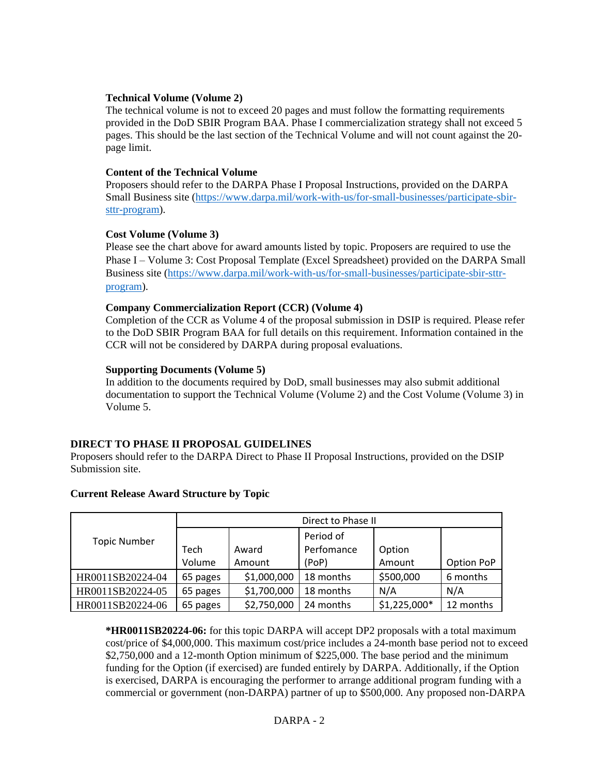#### **Technical Volume (Volume 2)**

The technical volume is not to exceed 20 pages and must follow the formatting requirements provided in the DoD SBIR Program BAA. Phase I commercialization strategy shall not exceed 5 pages. This should be the last section of the Technical Volume and will not count against the 20 page limit.

#### **Content of the Technical Volume**

Proposers should refer to the DARPA Phase I Proposal Instructions, provided on the DARPA Small Business site [\(https://www.darpa.mil/work-with-us/for-small-businesses/participate-sbir](https://www.darpa.mil/work-with-us/for-small-businesses/participate-sbir-sttr-program)[sttr-program\)](https://www.darpa.mil/work-with-us/for-small-businesses/participate-sbir-sttr-program).

## **Cost Volume (Volume 3)**

Please see the chart above for award amounts listed by topic. Proposers are required to use the Phase I – Volume 3: Cost Proposal Template (Excel Spreadsheet) provided on the DARPA Small Business site [\(https://www.darpa.mil/work-with-us/for-small-businesses/participate-sbir-sttr](https://www.darpa.mil/work-with-us/for-small-businesses/participate-sbir-sttr-program)[program\)](https://www.darpa.mil/work-with-us/for-small-businesses/participate-sbir-sttr-program).

## **Company Commercialization Report (CCR) (Volume 4)**

Completion of the CCR as Volume 4 of the proposal submission in DSIP is required. Please refer to the DoD SBIR Program BAA for full details on this requirement. Information contained in the CCR will not be considered by DARPA during proposal evaluations.

## **Supporting Documents (Volume 5)**

In addition to the documents required by DoD, small businesses may also submit additional documentation to support the Technical Volume (Volume 2) and the Cost Volume (Volume 3) in Volume 5.

## **DIRECT TO PHASE II PROPOSAL GUIDELINES**

Proposers should refer to the DARPA Direct to Phase II Proposal Instructions, provided on the DSIP Submission site.

|                     | Direct to Phase II |             |            |               |            |
|---------------------|--------------------|-------------|------------|---------------|------------|
| <b>Topic Number</b> |                    |             | Period of  |               |            |
|                     | Tech               | Award       | Perfomance | Option        |            |
|                     | Volume             | Amount      | (PoP)      | Amount        | Option PoP |
| HR0011SB20224-04    | 65 pages           | \$1,000,000 | 18 months  | \$500,000     | 6 months   |
| HR0011SB20224-05    | 65 pages           | \$1,700,000 | 18 months  | N/A           | N/A        |
| HR0011SB20224-06    | 65 pages           | \$2,750,000 | 24 months  | $$1,225,000*$ | 12 months  |

## **Current Release Award Structure by Topic**

**\*HR0011SB20224-06:** for this topic DARPA will accept DP2 proposals with a total maximum cost/price of \$4,000,000. This maximum cost/price includes a 24-month base period not to exceed \$2,750,000 and a 12-month Option minimum of \$225,000. The base period and the minimum funding for the Option (if exercised) are funded entirely by DARPA. Additionally, if the Option is exercised, DARPA is encouraging the performer to arrange additional program funding with a commercial or government (non-DARPA) partner of up to \$500,000. Any proposed non-DARPA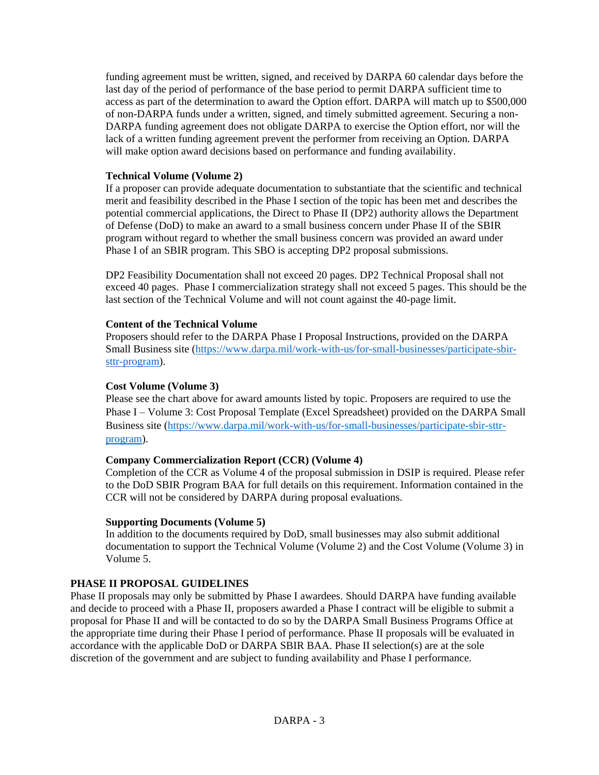funding agreement must be written, signed, and received by DARPA 60 calendar days before the last day of the period of performance of the base period to permit DARPA sufficient time to access as part of the determination to award the Option effort. DARPA will match up to \$500,000 of non-DARPA funds under a written, signed, and timely submitted agreement. Securing a non-DARPA funding agreement does not obligate DARPA to exercise the Option effort, nor will the lack of a written funding agreement prevent the performer from receiving an Option. DARPA will make option award decisions based on performance and funding availability.

## **Technical Volume (Volume 2)**

If a proposer can provide adequate documentation to substantiate that the scientific and technical merit and feasibility described in the Phase I section of the topic has been met and describes the potential commercial applications, the Direct to Phase II (DP2) authority allows the Department of Defense (DoD) to make an award to a small business concern under Phase II of the SBIR program without regard to whether the small business concern was provided an award under Phase I of an SBIR program. This SBO is accepting DP2 proposal submissions.

DP2 Feasibility Documentation shall not exceed 20 pages. DP2 Technical Proposal shall not exceed 40 pages. Phase I commercialization strategy shall not exceed 5 pages. This should be the last section of the Technical Volume and will not count against the 40-page limit.

## **Content of the Technical Volume**

Proposers should refer to the DARPA Phase I Proposal Instructions, provided on the DARPA Small Business site [\(https://www.darpa.mil/work-with-us/for-small-businesses/participate-sbir](https://www.darpa.mil/work-with-us/for-small-businesses/participate-sbir-sttr-program)[sttr-program\)](https://www.darpa.mil/work-with-us/for-small-businesses/participate-sbir-sttr-program).

#### **Cost Volume (Volume 3)**

Please see the chart above for award amounts listed by topic. Proposers are required to use the Phase I – Volume 3: Cost Proposal Template (Excel Spreadsheet) provided on the DARPA Small Business site [\(https://www.darpa.mil/work-with-us/for-small-businesses/participate-sbir-sttr](https://www.darpa.mil/work-with-us/for-small-businesses/participate-sbir-sttr-program)[program\)](https://www.darpa.mil/work-with-us/for-small-businesses/participate-sbir-sttr-program).

## **Company Commercialization Report (CCR) (Volume 4)**

Completion of the CCR as Volume 4 of the proposal submission in DSIP is required. Please refer to the DoD SBIR Program BAA for full details on this requirement. Information contained in the CCR will not be considered by DARPA during proposal evaluations.

#### **Supporting Documents (Volume 5)**

In addition to the documents required by DoD, small businesses may also submit additional documentation to support the Technical Volume (Volume 2) and the Cost Volume (Volume 3) in Volume 5.

## **PHASE II PROPOSAL GUIDELINES**

Phase II proposals may only be submitted by Phase I awardees. Should DARPA have funding available and decide to proceed with a Phase II, proposers awarded a Phase I contract will be eligible to submit a proposal for Phase II and will be contacted to do so by the DARPA Small Business Programs Office at the appropriate time during their Phase I period of performance. Phase II proposals will be evaluated in accordance with the applicable DoD or DARPA SBIR BAA. Phase II selection(s) are at the sole discretion of the government and are subject to funding availability and Phase I performance.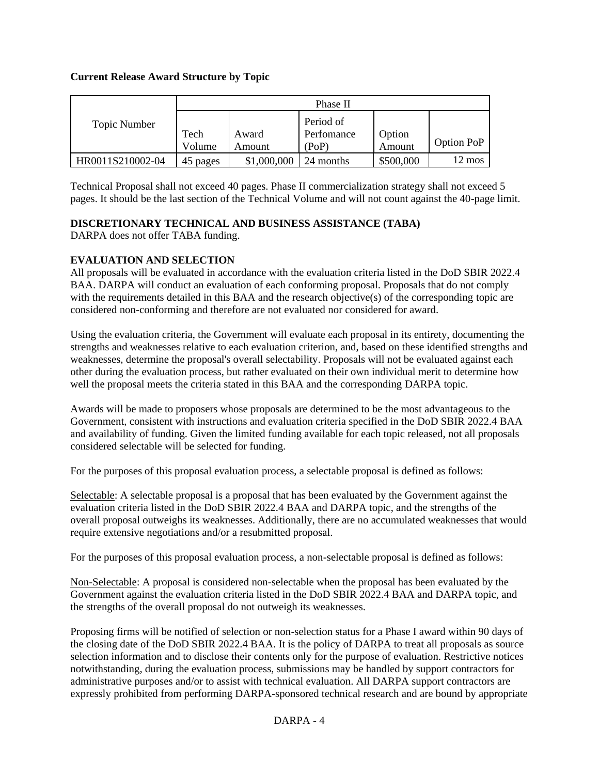## **Current Release Award Structure by Topic**

|                  | Phase II |             |            |           |                  |
|------------------|----------|-------------|------------|-----------|------------------|
| Topic Number     |          |             | Period of  |           |                  |
|                  | Tech     | Award       | Perfomance | Option    | Option PoP       |
|                  | Volume   | Amount      | (PoP)      | Amount    |                  |
| HR0011S210002-04 | 45 pages | \$1,000,000 | 24 months  | \$500,000 | $12 \text{ mos}$ |

Technical Proposal shall not exceed 40 pages. Phase II commercialization strategy shall not exceed 5 pages. It should be the last section of the Technical Volume and will not count against the 40-page limit.

# **DISCRETIONARY TECHNICAL AND BUSINESS ASSISTANCE (TABA)**

DARPA does not offer TABA funding.

## **EVALUATION AND SELECTION**

All proposals will be evaluated in accordance with the evaluation criteria listed in the DoD SBIR 2022.4 BAA. DARPA will conduct an evaluation of each conforming proposal. Proposals that do not comply with the requirements detailed in this BAA and the research objective(s) of the corresponding topic are considered non-conforming and therefore are not evaluated nor considered for award.

Using the evaluation criteria, the Government will evaluate each proposal in its entirety, documenting the strengths and weaknesses relative to each evaluation criterion, and, based on these identified strengths and weaknesses, determine the proposal's overall selectability. Proposals will not be evaluated against each other during the evaluation process, but rather evaluated on their own individual merit to determine how well the proposal meets the criteria stated in this BAA and the corresponding DARPA topic.

Awards will be made to proposers whose proposals are determined to be the most advantageous to the Government, consistent with instructions and evaluation criteria specified in the DoD SBIR 2022.4 BAA and availability of funding. Given the limited funding available for each topic released, not all proposals considered selectable will be selected for funding.

For the purposes of this proposal evaluation process, a selectable proposal is defined as follows:

Selectable: A selectable proposal is a proposal that has been evaluated by the Government against the evaluation criteria listed in the DoD SBIR 2022.4 BAA and DARPA topic, and the strengths of the overall proposal outweighs its weaknesses. Additionally, there are no accumulated weaknesses that would require extensive negotiations and/or a resubmitted proposal.

For the purposes of this proposal evaluation process, a non-selectable proposal is defined as follows:

Non-Selectable: A proposal is considered non-selectable when the proposal has been evaluated by the Government against the evaluation criteria listed in the DoD SBIR 2022.4 BAA and DARPA topic, and the strengths of the overall proposal do not outweigh its weaknesses.

Proposing firms will be notified of selection or non-selection status for a Phase I award within 90 days of the closing date of the DoD SBIR 2022.4 BAA. It is the policy of DARPA to treat all proposals as source selection information and to disclose their contents only for the purpose of evaluation. Restrictive notices notwithstanding, during the evaluation process, submissions may be handled by support contractors for administrative purposes and/or to assist with technical evaluation. All DARPA support contractors are expressly prohibited from performing DARPA-sponsored technical research and are bound by appropriate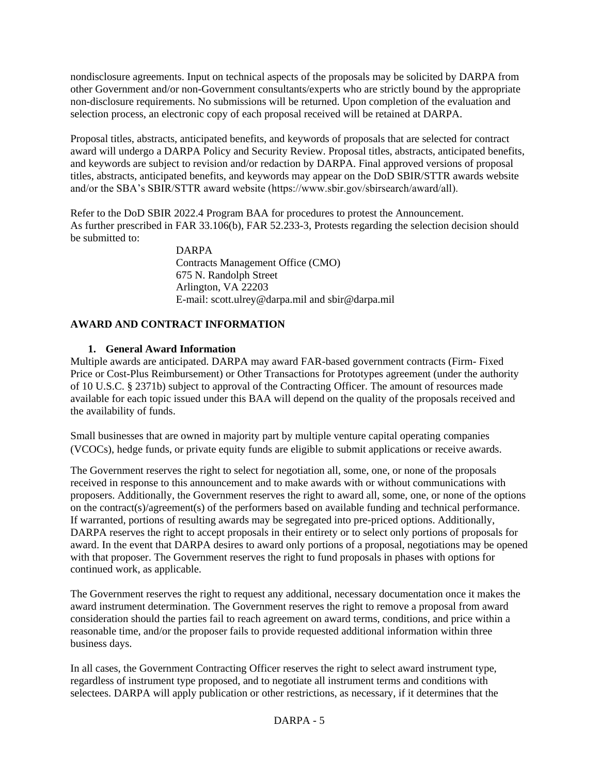nondisclosure agreements. Input on technical aspects of the proposals may be solicited by DARPA from other Government and/or non-Government consultants/experts who are strictly bound by the appropriate non-disclosure requirements. No submissions will be returned. Upon completion of the evaluation and selection process, an electronic copy of each proposal received will be retained at DARPA.

Proposal titles, abstracts, anticipated benefits, and keywords of proposals that are selected for contract award will undergo a DARPA Policy and Security Review. Proposal titles, abstracts, anticipated benefits, and keywords are subject to revision and/or redaction by DARPA. Final approved versions of proposal titles, abstracts, anticipated benefits, and keywords may appear on the DoD SBIR/STTR awards website and/or the SBA's SBIR/STTR award website (https://www.sbir.gov/sbirsearch/award/all).

Refer to the DoD SBIR 2022.4 Program BAA for procedures to protest the Announcement. As further prescribed in FAR 33.106(b), FAR 52.233-3, Protests regarding the selection decision should be submitted to:

> DARPA Contracts Management Office (CMO) 675 N. Randolph Street Arlington, VA 22203 E-mail: scott.ulrey@darpa.mil and sbir@darpa.mil

## **AWARD AND CONTRACT INFORMATION**

## **1. General Award Information**

Multiple awards are anticipated. DARPA may award FAR-based government contracts (Firm- Fixed Price or Cost-Plus Reimbursement) or Other Transactions for Prototypes agreement (under the authority of 10 U.S.C. § 2371b) subject to approval of the Contracting Officer. The amount of resources made available for each topic issued under this BAA will depend on the quality of the proposals received and the availability of funds.

Small businesses that are owned in majority part by multiple venture capital operating companies (VCOCs), hedge funds, or private equity funds are eligible to submit applications or receive awards.

The Government reserves the right to select for negotiation all, some, one, or none of the proposals received in response to this announcement and to make awards with or without communications with proposers. Additionally, the Government reserves the right to award all, some, one, or none of the options on the contract(s)/agreement(s) of the performers based on available funding and technical performance. If warranted, portions of resulting awards may be segregated into pre-priced options. Additionally, DARPA reserves the right to accept proposals in their entirety or to select only portions of proposals for award. In the event that DARPA desires to award only portions of a proposal, negotiations may be opened with that proposer. The Government reserves the right to fund proposals in phases with options for continued work, as applicable.

The Government reserves the right to request any additional, necessary documentation once it makes the award instrument determination. The Government reserves the right to remove a proposal from award consideration should the parties fail to reach agreement on award terms, conditions, and price within a reasonable time, and/or the proposer fails to provide requested additional information within three business days.

In all cases, the Government Contracting Officer reserves the right to select award instrument type, regardless of instrument type proposed, and to negotiate all instrument terms and conditions with selectees. DARPA will apply publication or other restrictions, as necessary, if it determines that the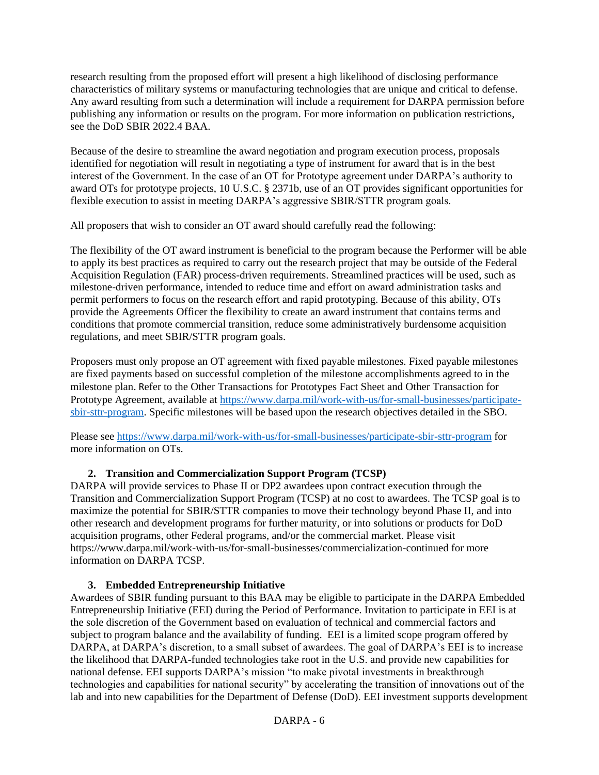research resulting from the proposed effort will present a high likelihood of disclosing performance characteristics of military systems or manufacturing technologies that are unique and critical to defense. Any award resulting from such a determination will include a requirement for DARPA permission before publishing any information or results on the program. For more information on publication restrictions, see the DoD SBIR 2022.4 BAA.

Because of the desire to streamline the award negotiation and program execution process, proposals identified for negotiation will result in negotiating a type of instrument for award that is in the best interest of the Government. In the case of an OT for Prototype agreement under DARPA's authority to award OTs for prototype projects, 10 U.S.C. § 2371b, use of an OT provides significant opportunities for flexible execution to assist in meeting DARPA's aggressive SBIR/STTR program goals.

All proposers that wish to consider an OT award should carefully read the following:

The flexibility of the OT award instrument is beneficial to the program because the Performer will be able to apply its best practices as required to carry out the research project that may be outside of the Federal Acquisition Regulation (FAR) process-driven requirements. Streamlined practices will be used, such as milestone-driven performance, intended to reduce time and effort on award administration tasks and permit performers to focus on the research effort and rapid prototyping. Because of this ability, OTs provide the Agreements Officer the flexibility to create an award instrument that contains terms and conditions that promote commercial transition, reduce some administratively burdensome acquisition regulations, and meet SBIR/STTR program goals.

Proposers must only propose an OT agreement with fixed payable milestones. Fixed payable milestones are fixed payments based on successful completion of the milestone accomplishments agreed to in the milestone plan. Refer to the Other Transactions for Prototypes Fact Sheet and Other Transaction for Prototype Agreement, available at [https://www.darpa.mil/work-with-us/for-small-businesses/participate](https://www.darpa.mil/work-with-us/for-small-businesses/participate-sbir-sttr-program)[sbir-sttr-program.](https://www.darpa.mil/work-with-us/for-small-businesses/participate-sbir-sttr-program) Specific milestones will be based upon the research objectives detailed in the SBO.

Please see<https://www.darpa.mil/work-with-us/for-small-businesses/participate-sbir-sttr-program> for more information on OTs.

# **2. Transition and Commercialization Support Program (TCSP)**

DARPA will provide services to Phase II or DP2 awardees upon contract execution through the Transition and Commercialization Support Program (TCSP) at no cost to awardees. The TCSP goal is to maximize the potential for SBIR/STTR companies to move their technology beyond Phase II, and into other research and development programs for further maturity, or into solutions or products for DoD acquisition programs, other Federal programs, and/or the commercial market. Please visit https://www.darpa.mil/work-with-us/for-small-businesses/commercialization-continued for more information on DARPA TCSP.

## **3. Embedded Entrepreneurship Initiative**

Awardees of SBIR funding pursuant to this BAA may be eligible to participate in the DARPA Embedded Entrepreneurship Initiative (EEI) during the Period of Performance. Invitation to participate in EEI is at the sole discretion of the Government based on evaluation of technical and commercial factors and subject to program balance and the availability of funding. EEI is a limited scope program offered by DARPA, at DARPA's discretion, to a small subset of awardees. The goal of DARPA's EEI is to increase the likelihood that DARPA-funded technologies take root in the U.S. and provide new capabilities for national defense. EEI supports DARPA's mission "to make pivotal investments in breakthrough technologies and capabilities for national security" by accelerating the transition of innovations out of the lab and into new capabilities for the Department of Defense (DoD). EEI investment supports development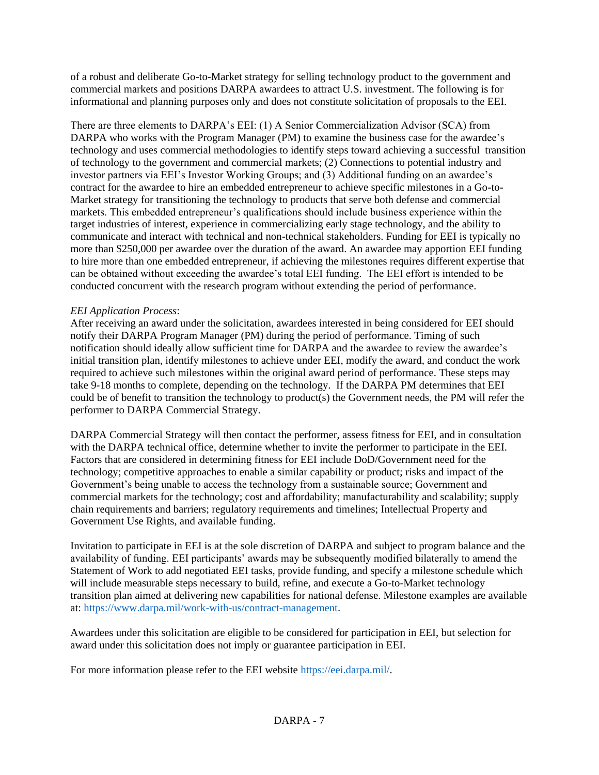of a robust and deliberate Go-to-Market strategy for selling technology product to the government and commercial markets and positions DARPA awardees to attract U.S. investment. The following is for informational and planning purposes only and does not constitute solicitation of proposals to the EEI.

There are three elements to DARPA's EEI: (1) A Senior Commercialization Advisor (SCA) from DARPA who works with the Program Manager (PM) to examine the business case for the awardee's technology and uses commercial methodologies to identify steps toward achieving a successful transition of technology to the government and commercial markets; (2) Connections to potential industry and investor partners via EEI's Investor Working Groups; and (3) Additional funding on an awardee's contract for the awardee to hire an embedded entrepreneur to achieve specific milestones in a Go-to-Market strategy for transitioning the technology to products that serve both defense and commercial markets. This embedded entrepreneur's qualifications should include business experience within the target industries of interest, experience in commercializing early stage technology, and the ability to communicate and interact with technical and non-technical stakeholders. Funding for EEI is typically no more than \$250,000 per awardee over the duration of the award. An awardee may apportion EEI funding to hire more than one embedded entrepreneur, if achieving the milestones requires different expertise that can be obtained without exceeding the awardee's total EEI funding. The EEI effort is intended to be conducted concurrent with the research program without extending the period of performance.

## *EEI Application Process*:

After receiving an award under the solicitation, awardees interested in being considered for EEI should notify their DARPA Program Manager (PM) during the period of performance. Timing of such notification should ideally allow sufficient time for DARPA and the awardee to review the awardee's initial transition plan, identify milestones to achieve under EEI, modify the award, and conduct the work required to achieve such milestones within the original award period of performance. These steps may take 9-18 months to complete, depending on the technology. If the DARPA PM determines that EEI could be of benefit to transition the technology to product(s) the Government needs, the PM will refer the performer to DARPA Commercial Strategy.

DARPA Commercial Strategy will then contact the performer, assess fitness for EEI, and in consultation with the DARPA technical office, determine whether to invite the performer to participate in the EEI. Factors that are considered in determining fitness for EEI include DoD/Government need for the technology; competitive approaches to enable a similar capability or product; risks and impact of the Government's being unable to access the technology from a sustainable source; Government and commercial markets for the technology; cost and affordability; manufacturability and scalability; supply chain requirements and barriers; regulatory requirements and timelines; Intellectual Property and Government Use Rights, and available funding.

Invitation to participate in EEI is at the sole discretion of DARPA and subject to program balance and the availability of funding. EEI participants' awards may be subsequently modified bilaterally to amend the Statement of Work to add negotiated EEI tasks, provide funding, and specify a milestone schedule which will include measurable steps necessary to build, refine, and execute a Go-to-Market technology transition plan aimed at delivering new capabilities for national defense. Milestone examples are available at: [https://www.darpa.mil/work-with-us/contract-management.](https://www.darpa.mil/work-with-us/contract-management)

Awardees under this solicitation are eligible to be considered for participation in EEI, but selection for award under this solicitation does not imply or guarantee participation in EEI.

For more information please refer to the EEI website [https://eei.darpa.mil/.](https://eei.darpa.mil/)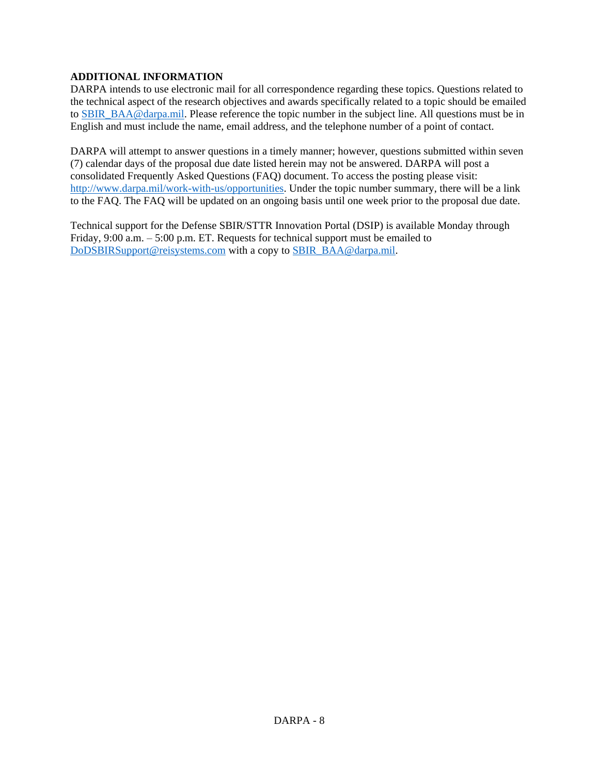## **ADDITIONAL INFORMATION**

DARPA intends to use electronic mail for all correspondence regarding these topics. Questions related to the technical aspect of the research objectives and awards specifically related to a topic should be emailed to [SBIR\\_BAA@darpa.mil.](mailto:SBIR_BAA@darpa.mil) Please reference the topic number in the subject line. All questions must be in English and must include the name, email address, and the telephone number of a point of contact.

DARPA will attempt to answer questions in a timely manner; however, questions submitted within seven (7) calendar days of the proposal due date listed herein may not be answered. DARPA will post a consolidated Frequently Asked Questions (FAQ) document. To access the posting please visit: [http://www.darpa.mil/work-with-us/opportunities.](http://www.darpa.mil/work-with-us/opportunities) Under the topic number summary, there will be a link to the FAQ. The FAQ will be updated on an ongoing basis until one week prior to the proposal due date.

Technical support for the Defense SBIR/STTR Innovation Portal (DSIP) is available Monday through Friday, 9:00 a.m. – 5:00 p.m. ET. Requests for technical support must be emailed to [DoDSBIRSupport@reisystems.com](mailto:DoDSBIRSupport@reisystems.com) with a copy to [SBIR\\_BAA@darpa.mil.](mailto:SBIR_BAA@darpa.mil)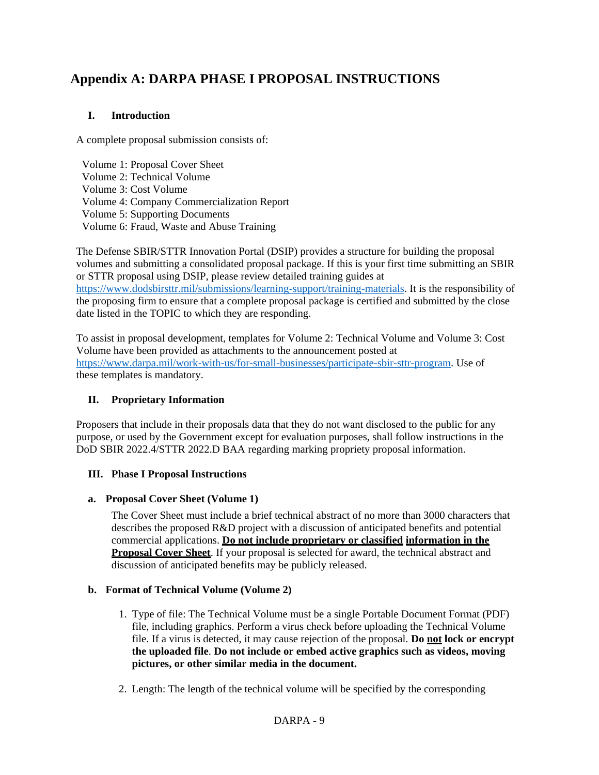# **Appendix A: DARPA PHASE I PROPOSAL INSTRUCTIONS**

# **I. Introduction**

A complete proposal submission consists of:

Volume 1: Proposal Cover Sheet Volume 2: Technical Volume Volume 3: Cost Volume Volume 4: Company Commercialization Report Volume 5: Supporting Documents Volume 6: Fraud, Waste and Abuse Training

The Defense SBIR/STTR Innovation Portal (DSIP) provides a structure for building the proposal volumes and submitting a consolidated proposal package. If this is your first time submitting an SBIR or STTR proposal using DSIP, please review detailed training guides at [https://www.dodsbirsttr.mil/submissions/learning-support/training-materials.](https://www.dodsbirsttr.mil/submissions/learning-support/training-materials) It is the responsibility of the proposing firm to ensure that a complete proposal package is certified and submitted by the close date listed in the TOPIC to which they are responding.

To assist in proposal development, templates for Volume 2: Technical Volume and Volume 3: Cost Volume have been provided as attachments to the announcement posted at [https://www.darpa.mil/work-with-us/for-small-businesses/participate-sbir-sttr-program.](https://www.darpa.mil/work-with-us/for-small-businesses/participate-sbir-sttr-program) Use of these templates is mandatory.

# **II. Proprietary Information**

Proposers that include in their proposals data that they do not want disclosed to the public for any purpose, or used by the Government except for evaluation purposes, shall follow instructions in the DoD SBIR 2022.4/STTR 2022.D BAA regarding marking propriety proposal information.

## **III. Phase I Proposal Instructions**

## **a. Proposal Cover Sheet (Volume 1)**

The Cover Sheet must include a brief technical abstract of no more than 3000 characters that describes the proposed R&D project with a discussion of anticipated benefits and potential commercial applications. **Do not include proprietary or classified information in the Proposal Cover Sheet**. If your proposal is selected for award, the technical abstract and discussion of anticipated benefits may be publicly released.

# **b. Format of Technical Volume (Volume 2)**

- 1. Type of file: The Technical Volume must be a single Portable Document Format (PDF) file, including graphics. Perform a virus check before uploading the Technical Volume file. If a virus is detected, it may cause rejection of the proposal. **Do not lock or encrypt the uploaded file**. **Do not include or embed active graphics such as videos, moving pictures, or other similar media in the document.**
- 2. Length: The length of the technical volume will be specified by the corresponding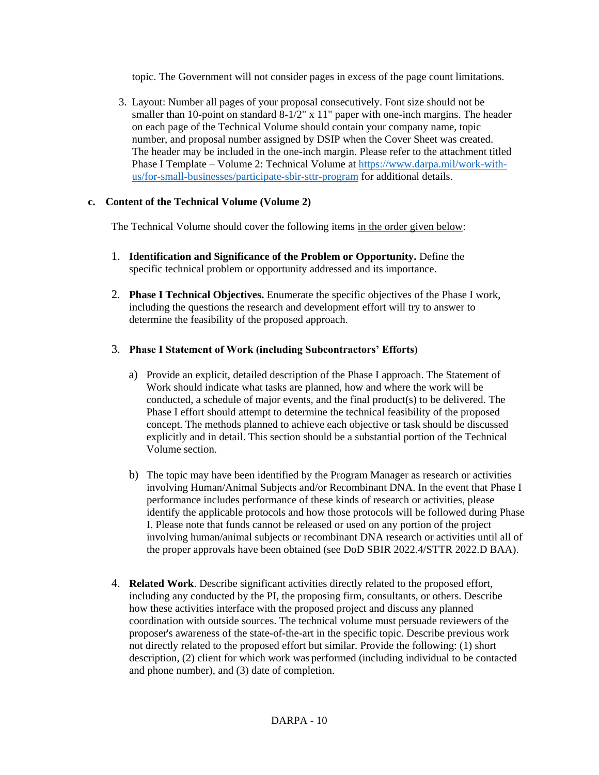topic. The Government will not consider pages in excess of the page count limitations.

3. Layout: Number all pages of your proposal consecutively. Font size should not be smaller than 10-point on standard  $8-1/2$ " x 11" paper with one-inch margins. The header on each page of the Technical Volume should contain your company name, topic number, and proposal number assigned by DSIP when the Cover Sheet was created. The header may be included in the one-inch margin. Please refer to the attachment titled Phase I Template – Volume 2: Technical Volume at [https://www.darpa.mil/work-with](https://www.darpa.mil/work-with-us/for-small-businesses/participate-sbir-sttr-program)[us/for-small-businesses/participate-sbir-sttr-program](https://www.darpa.mil/work-with-us/for-small-businesses/participate-sbir-sttr-program) for additional details.

## **c. Content of the Technical Volume (Volume 2)**

The Technical Volume should cover the following items in the order given below:

- 1. **Identification and Significance of the Problem or Opportunity.** Define the specific technical problem or opportunity addressed and its importance.
- 2. **Phase I Technical Objectives.** Enumerate the specific objectives of the Phase I work, including the questions the research and development effort will try to answer to determine the feasibility of the proposed approach.

# 3. **Phase I Statement of Work (including Subcontractors' Efforts)**

- a) Provide an explicit, detailed description of the Phase I approach. The Statement of Work should indicate what tasks are planned, how and where the work will be conducted, a schedule of major events, and the final product(s) to be delivered. The Phase I effort should attempt to determine the technical feasibility of the proposed concept. The methods planned to achieve each objective or task should be discussed explicitly and in detail. This section should be a substantial portion of the Technical Volume section.
- b) The topic may have been identified by the Program Manager as research or activities involving Human/Animal Subjects and/or Recombinant DNA. In the event that Phase I performance includes performance of these kinds of research or activities, please identify the applicable protocols and how those protocols will be followed during Phase I. Please note that funds cannot be released or used on any portion of the project involving human/animal subjects or recombinant DNA research or activities until all of the proper approvals have been obtained (see DoD SBIR 2022.4/STTR 2022.D BAA).
- 4. **Related Work**. Describe significant activities directly related to the proposed effort, including any conducted by the PI, the proposing firm, consultants, or others. Describe how these activities interface with the proposed project and discuss any planned coordination with outside sources. The technical volume must persuade reviewers of the proposer's awareness of the state-of-the-art in the specific topic. Describe previous work not directly related to the proposed effort but similar. Provide the following: (1) short description, (2) client for which work was performed (including individual to be contacted and phone number), and (3) date of completion.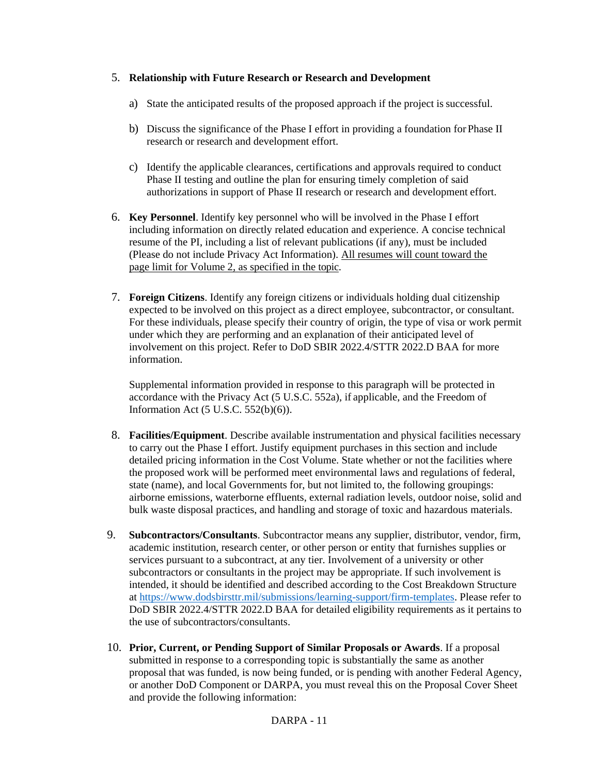## 5. **Relationship with Future Research or Research and Development**

- a) State the anticipated results of the proposed approach if the project is successful.
- b) Discuss the significance of the Phase I effort in providing a foundation for Phase II research or research and development effort.
- c) Identify the applicable clearances, certifications and approvals required to conduct Phase II testing and outline the plan for ensuring timely completion of said authorizations in support of Phase II research or research and development effort.
- 6. **Key Personnel**. Identify key personnel who will be involved in the Phase I effort including information on directly related education and experience. A concise technical resume of the PI, including a list of relevant publications (if any), must be included (Please do not include Privacy Act Information). All resumes will count toward the page limit for Volume 2, as specified in the topic.
- 7. **Foreign Citizens**. Identify any foreign citizens or individuals holding dual citizenship expected to be involved on this project as a direct employee, subcontractor, or consultant. For these individuals, please specify their country of origin, the type of visa or work permit under which they are performing and an explanation of their anticipated level of involvement on this project. Refer to DoD SBIR 2022.4/STTR 2022.D BAA for more information.

Supplemental information provided in response to this paragraph will be protected in accordance with the Privacy Act (5 U.S.C. 552a), if applicable, and the Freedom of Information Act (5 U.S.C. 552(b)(6)).

- 8. **Facilities/Equipment**. Describe available instrumentation and physical facilities necessary to carry out the Phase I effort. Justify equipment purchases in this section and include detailed pricing information in the Cost Volume. State whether or not the facilities where the proposed work will be performed meet environmental laws and regulations of federal, state (name), and local Governments for, but not limited to, the following groupings: airborne emissions, waterborne effluents, external radiation levels, outdoor noise, solid and bulk waste disposal practices, and handling and storage of toxic and hazardous materials.
- 9. **Subcontractors/Consultants**. Subcontractor means any supplier, distributor, vendor, firm, academic institution, research center, or other person or entity that furnishes supplies or services pursuant to a subcontract, at any tier. Involvement of a university or other subcontractors or consultants in the project may be appropriate. If such involvement is intended, it should be identified and described according to the Cost Breakdown Structure at [https://www.dodsbirsttr.mil/submissions/learning-support/firm-templates.](https://www.dodsbirsttr.mil/submissions/learning-support/firm-templates) Please refer to DoD SBIR 2022.4/STTR 2022.D BAA for detailed eligibility requirements as it pertains to the use of subcontractors/consultants.
- 10. **Prior, Current, or Pending Support of Similar Proposals or Awards**. If a proposal submitted in response to a corresponding topic is substantially the same as another proposal that was funded, is now being funded, or is pending with another Federal Agency, or another DoD Component or DARPA, you must reveal this on the Proposal Cover Sheet and provide the following information: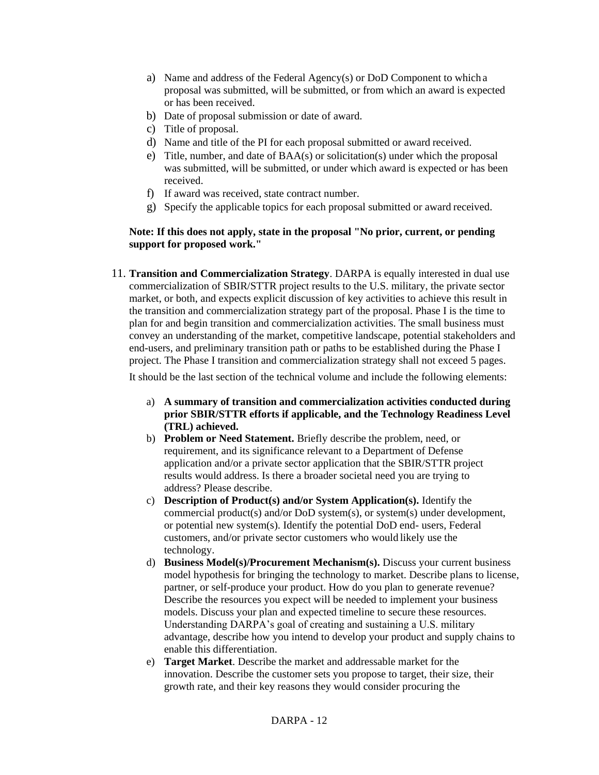- a) Name and address of the Federal Agency(s) or DoD Component to which a proposal was submitted, will be submitted, or from which an award is expected or has been received.
- b) Date of proposal submission or date of award.
- c) Title of proposal.
- d) Name and title of the PI for each proposal submitted or award received.
- e) Title, number, and date of BAA(s) or solicitation(s) under which the proposal was submitted, will be submitted, or under which award is expected or has been received.
- f) If award was received, state contract number.
- g) Specify the applicable topics for each proposal submitted or award received.

## **Note: If this does not apply, state in the proposal "No prior, current, or pending support for proposed work."**

11. **Transition and Commercialization Strategy**. DARPA is equally interested in dual use commercialization of SBIR/STTR project results to the U.S. military, the private sector market, or both, and expects explicit discussion of key activities to achieve this result in the transition and commercialization strategy part of the proposal. Phase I is the time to plan for and begin transition and commercialization activities. The small business must convey an understanding of the market, competitive landscape, potential stakeholders and end-users, and preliminary transition path or paths to be established during the Phase I project. The Phase I transition and commercialization strategy shall not exceed 5 pages.

It should be the last section of the technical volume and include the following elements:

- a) **A summary of transition and commercialization activities conducted during prior SBIR/STTR efforts if applicable, and the Technology Readiness Level (TRL) achieved.**
- b) **Problem or Need Statement.** Briefly describe the problem, need, or requirement, and its significance relevant to a Department of Defense application and/or a private sector application that the SBIR/STTR project results would address. Is there a broader societal need you are trying to address? Please describe.
- c) **Description of Product(s) and/or System Application(s).** Identify the commercial product(s) and/or DoD system(s), or system(s) under development, or potential new system(s). Identify the potential DoD end- users, Federal customers, and/or private sector customers who would likely use the technology.
- d) **Business Model(s)/Procurement Mechanism(s).** Discuss your current business model hypothesis for bringing the technology to market. Describe plans to license, partner, or self-produce your product. How do you plan to generate revenue? Describe the resources you expect will be needed to implement your business models. Discuss your plan and expected timeline to secure these resources. Understanding DARPA's goal of creating and sustaining a U.S. military advantage, describe how you intend to develop your product and supply chains to enable this differentiation.
- e) **Target Market**. Describe the market and addressable market for the innovation. Describe the customer sets you propose to target, their size, their growth rate, and their key reasons they would consider procuring the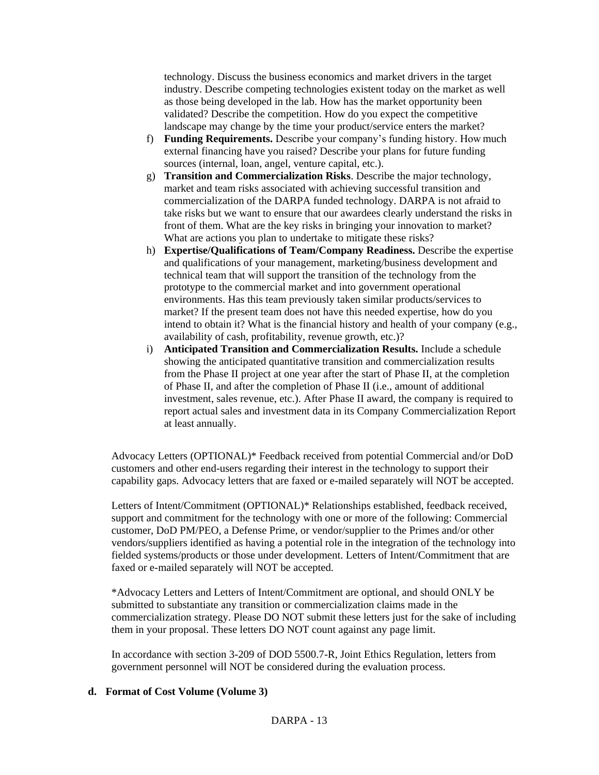technology. Discuss the business economics and market drivers in the target industry. Describe competing technologies existent today on the market as well as those being developed in the lab. How has the market opportunity been validated? Describe the competition. How do you expect the competitive landscape may change by the time your product/service enters the market?

- f) **Funding Requirements.** Describe your company's funding history. How much external financing have you raised? Describe your plans for future funding sources (internal, loan, angel, venture capital, etc.).
- g) **Transition and Commercialization Risks**. Describe the major technology, market and team risks associated with achieving successful transition and commercialization of the DARPA funded technology. DARPA is not afraid to take risks but we want to ensure that our awardees clearly understand the risks in front of them. What are the key risks in bringing your innovation to market? What are actions you plan to undertake to mitigate these risks?
- h) **Expertise/Qualifications of Team/Company Readiness.** Describe the expertise and qualifications of your management, marketing/business development and technical team that will support the transition of the technology from the prototype to the commercial market and into government operational environments. Has this team previously taken similar products/services to market? If the present team does not have this needed expertise, how do you intend to obtain it? What is the financial history and health of your company (e.g., availability of cash, profitability, revenue growth, etc.)?
- i) **Anticipated Transition and Commercialization Results.** Include a schedule showing the anticipated quantitative transition and commercialization results from the Phase II project at one year after the start of Phase II, at the completion of Phase II, and after the completion of Phase II (i.e., amount of additional investment, sales revenue, etc.). After Phase II award, the company is required to report actual sales and investment data in its Company Commercialization Report at least annually.

Advocacy Letters (OPTIONAL)\* Feedback received from potential Commercial and/or DoD customers and other end-users regarding their interest in the technology to support their capability gaps. Advocacy letters that are faxed or e-mailed separately will NOT be accepted.

Letters of Intent/Commitment (OPTIONAL)\* Relationships established, feedback received, support and commitment for the technology with one or more of the following: Commercial customer, DoD PM/PEO, a Defense Prime, or vendor/supplier to the Primes and/or other vendors/suppliers identified as having a potential role in the integration of the technology into fielded systems/products or those under development. Letters of Intent/Commitment that are faxed or e-mailed separately will NOT be accepted.

\*Advocacy Letters and Letters of Intent/Commitment are optional, and should ONLY be submitted to substantiate any transition or commercialization claims made in the commercialization strategy. Please DO NOT submit these letters just for the sake of including them in your proposal. These letters DO NOT count against any page limit.

In accordance with section 3-209 of DOD 5500.7-R, Joint Ethics Regulation, letters from government personnel will NOT be considered during the evaluation process.

## **d. Format of Cost Volume (Volume 3)**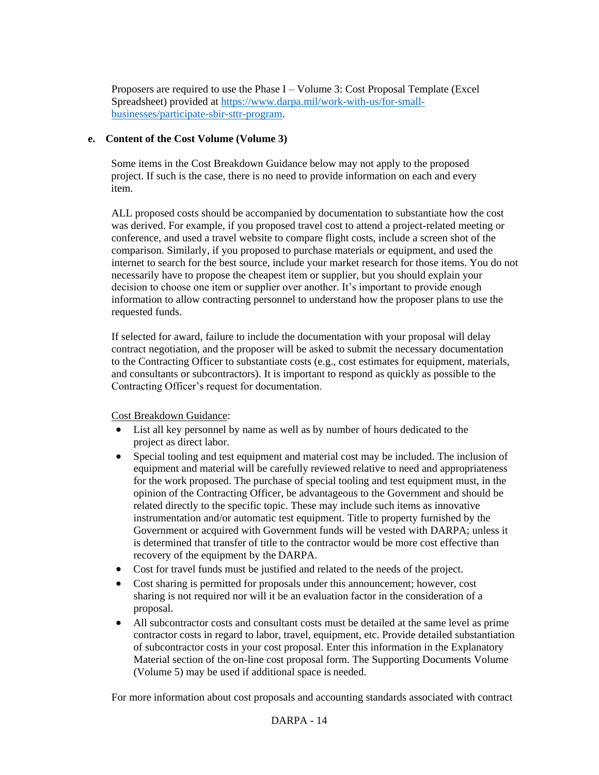Proposers are required to use the Phase I – Volume 3: Cost Proposal Template (Excel Spreadsheet) provided at [https://www.darpa.mil/work-with-us/for-small](https://www.darpa.mil/work-with-us/for-small-businesses/participate-sbir-sttr-program)[businesses/participate-sbir-sttr-program.](https://www.darpa.mil/work-with-us/for-small-businesses/participate-sbir-sttr-program)

## **e. Content of the Cost Volume (Volume 3)**

Some items in the Cost Breakdown Guidance below may not apply to the proposed project. If such is the case, there is no need to provide information on each and every item.

ALL proposed costs should be accompanied by documentation to substantiate how the cost was derived. For example, if you proposed travel cost to attend a project-related meeting or conference, and used a travel website to compare flight costs, include a screen shot of the comparison. Similarly, if you proposed to purchase materials or equipment, and used the internet to search for the best source, include your market research for those items. You do not necessarily have to propose the cheapest item or supplier, but you should explain your decision to choose one item or supplier over another. It's important to provide enough information to allow contracting personnel to understand how the proposer plans to use the requested funds.

If selected for award, failure to include the documentation with your proposal will delay contract negotiation, and the proposer will be asked to submit the necessary documentation to the Contracting Officer to substantiate costs (e.g., cost estimates for equipment, materials, and consultants or subcontractors). It is important to respond as quickly as possible to the Contracting Officer's request for documentation.

Cost Breakdown Guidance:

- List all key personnel by name as well as by number of hours dedicated to the project as direct labor.
- Special tooling and test equipment and material cost may be included. The inclusion of equipment and material will be carefully reviewed relative to need and appropriateness for the work proposed. The purchase of special tooling and test equipment must, in the opinion of the Contracting Officer, be advantageous to the Government and should be related directly to the specific topic. These may include such items as innovative instrumentation and/or automatic test equipment. Title to property furnished by the Government or acquired with Government funds will be vested with DARPA; unless it is determined that transfer of title to the contractor would be more cost effective than recovery of the equipment by the DARPA.
- Cost for travel funds must be justified and related to the needs of the project.
- Cost sharing is permitted for proposals under this announcement; however, cost sharing is not required nor will it be an evaluation factor in the consideration of a proposal.
- All subcontractor costs and consultant costs must be detailed at the same level as prime contractor costs in regard to labor, travel, equipment, etc. Provide detailed substantiation of subcontractor costs in your cost proposal. Enter this information in the Explanatory Material section of the on-line cost proposal form. The Supporting Documents Volume (Volume 5) may be used if additional space is needed.

For more information about cost proposals and accounting standards associated with contract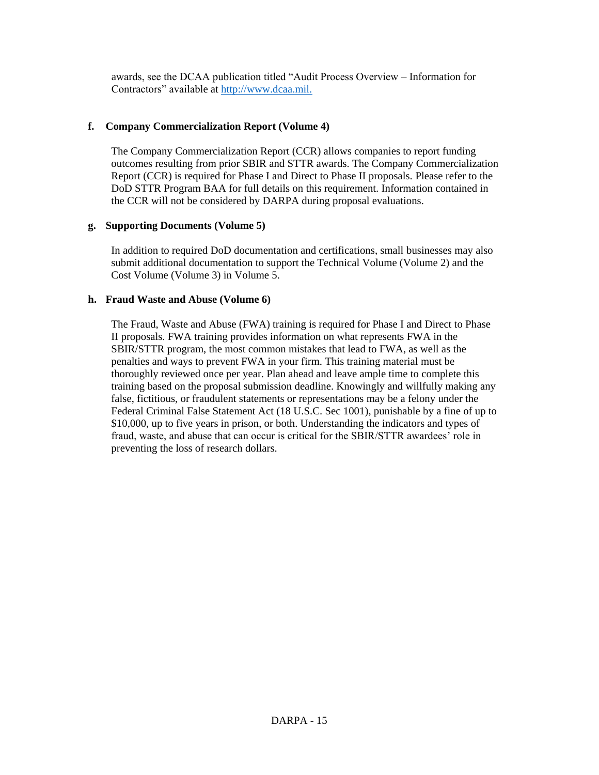awards, see the DCAA publication titled "Audit Process Overview – Information for Contractors" available at http://www.dcaa.mil.

## **f. Company Commercialization Report (Volume 4)**

The Company Commercialization Report (CCR) allows companies to report funding outcomes resulting from prior SBIR and STTR awards. The Company Commercialization Report (CCR) is required for Phase I and Direct to Phase II proposals. Please refer to the DoD STTR Program BAA for full details on this requirement. Information contained in the CCR will not be considered by DARPA during proposal evaluations.

#### **g. Supporting Documents (Volume 5)**

In addition to required DoD documentation and certifications, small businesses may also submit additional documentation to support the Technical Volume (Volume 2) and the Cost Volume (Volume 3) in Volume 5.

## **h. Fraud Waste and Abuse (Volume 6)**

The Fraud, Waste and Abuse (FWA) training is required for Phase I and Direct to Phase II proposals. FWA training provides information on what represents FWA in the SBIR/STTR program, the most common mistakes that lead to FWA, as well as the penalties and ways to prevent FWA in your firm. This training material must be thoroughly reviewed once per year. Plan ahead and leave ample time to complete this training based on the proposal submission deadline. Knowingly and willfully making any false, fictitious, or fraudulent statements or representations may be a felony under the Federal Criminal False Statement Act (18 U.S.C. Sec 1001), punishable by a fine of up to \$10,000, up to five years in prison, or both. Understanding the indicators and types of fraud, waste, and abuse that can occur is critical for the SBIR/STTR awardees' role in preventing the loss of research dollars.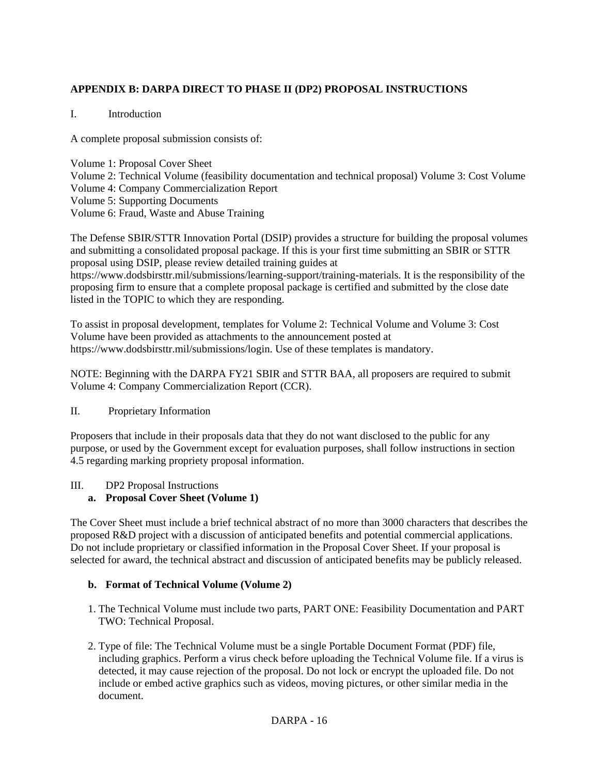# **APPENDIX B: DARPA DIRECT TO PHASE II (DP2) PROPOSAL INSTRUCTIONS**

## I. Introduction

A complete proposal submission consists of:

Volume 1: Proposal Cover Sheet Volume 2: Technical Volume (feasibility documentation and technical proposal) Volume 3: Cost Volume Volume 4: Company Commercialization Report Volume 5: Supporting Documents Volume 6: Fraud, Waste and Abuse Training

The Defense SBIR/STTR Innovation Portal (DSIP) provides a structure for building the proposal volumes and submitting a consolidated proposal package. If this is your first time submitting an SBIR or STTR proposal using DSIP, please review detailed training guides at https://www.dodsbirsttr.mil/submissions/learning-support/training-materials. It is the responsibility of the proposing firm to ensure that a complete proposal package is certified and submitted by the close date listed in the TOPIC to which they are responding.

To assist in proposal development, templates for Volume 2: Technical Volume and Volume 3: Cost Volume have been provided as attachments to the announcement posted at https://www.dodsbirsttr.mil/submissions/login. Use of these templates is mandatory.

NOTE: Beginning with the DARPA FY21 SBIR and STTR BAA, all proposers are required to submit Volume 4: Company Commercialization Report (CCR).

#### II. Proprietary Information

Proposers that include in their proposals data that they do not want disclosed to the public for any purpose, or used by the Government except for evaluation purposes, shall follow instructions in section 4.5 regarding marking propriety proposal information.

#### III. DP2 Proposal Instructions

## **a. Proposal Cover Sheet (Volume 1)**

The Cover Sheet must include a brief technical abstract of no more than 3000 characters that describes the proposed R&D project with a discussion of anticipated benefits and potential commercial applications. Do not include proprietary or classified information in the Proposal Cover Sheet. If your proposal is selected for award, the technical abstract and discussion of anticipated benefits may be publicly released.

#### **b. Format of Technical Volume (Volume 2)**

- 1. The Technical Volume must include two parts, PART ONE: Feasibility Documentation and PART TWO: Technical Proposal.
- 2. Type of file: The Technical Volume must be a single Portable Document Format (PDF) file, including graphics. Perform a virus check before uploading the Technical Volume file. If a virus is detected, it may cause rejection of the proposal. Do not lock or encrypt the uploaded file. Do not include or embed active graphics such as videos, moving pictures, or other similar media in the document.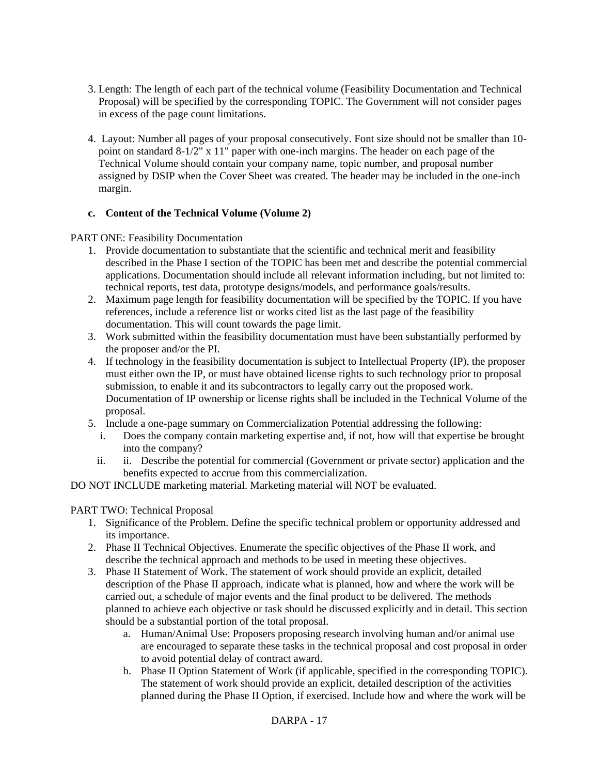- 3. Length: The length of each part of the technical volume (Feasibility Documentation and Technical Proposal) will be specified by the corresponding TOPIC. The Government will not consider pages in excess of the page count limitations.
- 4. Layout: Number all pages of your proposal consecutively. Font size should not be smaller than 10 point on standard 8-1/2" x 11" paper with one-inch margins. The header on each page of the Technical Volume should contain your company name, topic number, and proposal number assigned by DSIP when the Cover Sheet was created. The header may be included in the one-inch margin.

## **c. Content of the Technical Volume (Volume 2)**

PART ONE: Feasibility Documentation

- 1. Provide documentation to substantiate that the scientific and technical merit and feasibility described in the Phase I section of the TOPIC has been met and describe the potential commercial applications. Documentation should include all relevant information including, but not limited to: technical reports, test data, prototype designs/models, and performance goals/results.
- 2. Maximum page length for feasibility documentation will be specified by the TOPIC. If you have references, include a reference list or works cited list as the last page of the feasibility documentation. This will count towards the page limit.
- 3. Work submitted within the feasibility documentation must have been substantially performed by the proposer and/or the PI.
- 4. If technology in the feasibility documentation is subject to Intellectual Property (IP), the proposer must either own the IP, or must have obtained license rights to such technology prior to proposal submission, to enable it and its subcontractors to legally carry out the proposed work. Documentation of IP ownership or license rights shall be included in the Technical Volume of the proposal.
- 5. Include a one-page summary on Commercialization Potential addressing the following:
	- i. Does the company contain marketing expertise and, if not, how will that expertise be brought into the company?
	- ii. ii. Describe the potential for commercial (Government or private sector) application and the benefits expected to accrue from this commercialization.

DO NOT INCLUDE marketing material. Marketing material will NOT be evaluated.

#### PART TWO: Technical Proposal

- 1. Significance of the Problem. Define the specific technical problem or opportunity addressed and its importance.
- 2. Phase II Technical Objectives. Enumerate the specific objectives of the Phase II work, and describe the technical approach and methods to be used in meeting these objectives.
- 3. Phase II Statement of Work. The statement of work should provide an explicit, detailed description of the Phase II approach, indicate what is planned, how and where the work will be carried out, a schedule of major events and the final product to be delivered. The methods planned to achieve each objective or task should be discussed explicitly and in detail. This section should be a substantial portion of the total proposal.
	- a. Human/Animal Use: Proposers proposing research involving human and/or animal use are encouraged to separate these tasks in the technical proposal and cost proposal in order to avoid potential delay of contract award.
	- b. Phase II Option Statement of Work (if applicable, specified in the corresponding TOPIC). The statement of work should provide an explicit, detailed description of the activities planned during the Phase II Option, if exercised. Include how and where the work will be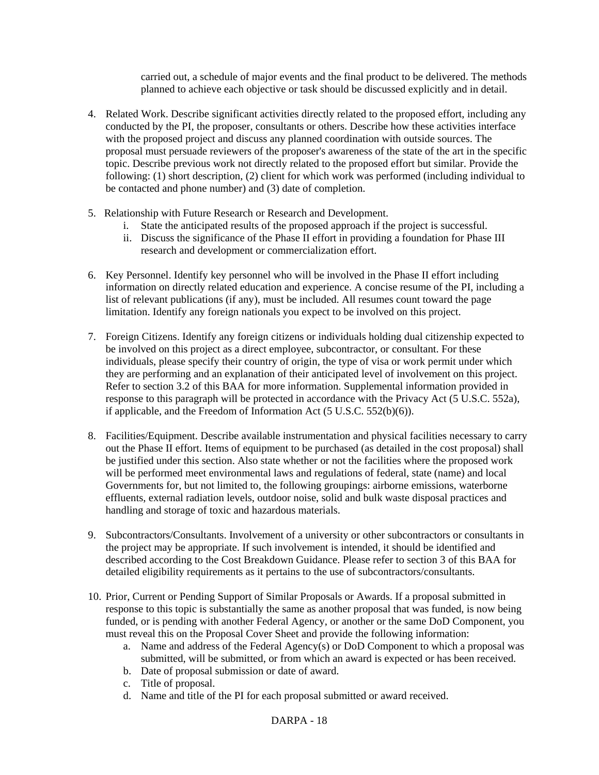carried out, a schedule of major events and the final product to be delivered. The methods planned to achieve each objective or task should be discussed explicitly and in detail.

- 4. Related Work. Describe significant activities directly related to the proposed effort, including any conducted by the PI, the proposer, consultants or others. Describe how these activities interface with the proposed project and discuss any planned coordination with outside sources. The proposal must persuade reviewers of the proposer's awareness of the state of the art in the specific topic. Describe previous work not directly related to the proposed effort but similar. Provide the following: (1) short description, (2) client for which work was performed (including individual to be contacted and phone number) and (3) date of completion.
- 5. Relationship with Future Research or Research and Development.
	- i. State the anticipated results of the proposed approach if the project is successful.
	- ii. Discuss the significance of the Phase II effort in providing a foundation for Phase III research and development or commercialization effort.
- 6. Key Personnel. Identify key personnel who will be involved in the Phase II effort including information on directly related education and experience. A concise resume of the PI, including a list of relevant publications (if any), must be included. All resumes count toward the page limitation. Identify any foreign nationals you expect to be involved on this project.
- 7. Foreign Citizens. Identify any foreign citizens or individuals holding dual citizenship expected to be involved on this project as a direct employee, subcontractor, or consultant. For these individuals, please specify their country of origin, the type of visa or work permit under which they are performing and an explanation of their anticipated level of involvement on this project. Refer to section 3.2 of this BAA for more information. Supplemental information provided in response to this paragraph will be protected in accordance with the Privacy Act (5 U.S.C. 552a), if applicable, and the Freedom of Information Act (5 U.S.C. 552(b)(6)).
- 8. Facilities/Equipment. Describe available instrumentation and physical facilities necessary to carry out the Phase II effort. Items of equipment to be purchased (as detailed in the cost proposal) shall be justified under this section. Also state whether or not the facilities where the proposed work will be performed meet environmental laws and regulations of federal, state (name) and local Governments for, but not limited to, the following groupings: airborne emissions, waterborne effluents, external radiation levels, outdoor noise, solid and bulk waste disposal practices and handling and storage of toxic and hazardous materials.
- 9. Subcontractors/Consultants. Involvement of a university or other subcontractors or consultants in the project may be appropriate. If such involvement is intended, it should be identified and described according to the Cost Breakdown Guidance. Please refer to section 3 of this BAA for detailed eligibility requirements as it pertains to the use of subcontractors/consultants.
- 10. Prior, Current or Pending Support of Similar Proposals or Awards. If a proposal submitted in response to this topic is substantially the same as another proposal that was funded, is now being funded, or is pending with another Federal Agency, or another or the same DoD Component, you must reveal this on the Proposal Cover Sheet and provide the following information:
	- a. Name and address of the Federal Agency(s) or DoD Component to which a proposal was submitted, will be submitted, or from which an award is expected or has been received.
	- b. Date of proposal submission or date of award.
	- c. Title of proposal.
	- d. Name and title of the PI for each proposal submitted or award received.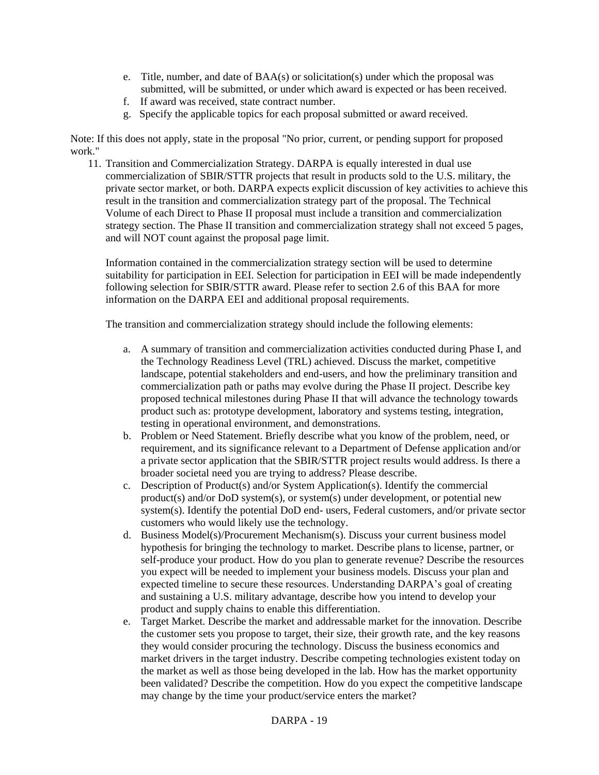- e. Title, number, and date of BAA(s) or solicitation(s) under which the proposal was submitted, will be submitted, or under which award is expected or has been received.
- f. If award was received, state contract number.
- g. Specify the applicable topics for each proposal submitted or award received.

Note: If this does not apply, state in the proposal "No prior, current, or pending support for proposed work."

11. Transition and Commercialization Strategy. DARPA is equally interested in dual use commercialization of SBIR/STTR projects that result in products sold to the U.S. military, the private sector market, or both. DARPA expects explicit discussion of key activities to achieve this result in the transition and commercialization strategy part of the proposal. The Technical Volume of each Direct to Phase II proposal must include a transition and commercialization strategy section. The Phase II transition and commercialization strategy shall not exceed 5 pages, and will NOT count against the proposal page limit.

Information contained in the commercialization strategy section will be used to determine suitability for participation in EEI. Selection for participation in EEI will be made independently following selection for SBIR/STTR award. Please refer to section 2.6 of this BAA for more information on the DARPA EEI and additional proposal requirements.

The transition and commercialization strategy should include the following elements:

- a. A summary of transition and commercialization activities conducted during Phase I, and the Technology Readiness Level (TRL) achieved. Discuss the market, competitive landscape, potential stakeholders and end-users, and how the preliminary transition and commercialization path or paths may evolve during the Phase II project. Describe key proposed technical milestones during Phase II that will advance the technology towards product such as: prototype development, laboratory and systems testing, integration, testing in operational environment, and demonstrations.
- b. Problem or Need Statement. Briefly describe what you know of the problem, need, or requirement, and its significance relevant to a Department of Defense application and/or a private sector application that the SBIR/STTR project results would address. Is there a broader societal need you are trying to address? Please describe.
- c. Description of Product(s) and/or System Application(s). Identify the commercial product(s) and/or DoD system(s), or system(s) under development, or potential new system(s). Identify the potential DoD end- users, Federal customers, and/or private sector customers who would likely use the technology.
- d. Business Model(s)/Procurement Mechanism(s). Discuss your current business model hypothesis for bringing the technology to market. Describe plans to license, partner, or self-produce your product. How do you plan to generate revenue? Describe the resources you expect will be needed to implement your business models. Discuss your plan and expected timeline to secure these resources. Understanding DARPA's goal of creating and sustaining a U.S. military advantage, describe how you intend to develop your product and supply chains to enable this differentiation.
- e. Target Market. Describe the market and addressable market for the innovation. Describe the customer sets you propose to target, their size, their growth rate, and the key reasons they would consider procuring the technology. Discuss the business economics and market drivers in the target industry. Describe competing technologies existent today on the market as well as those being developed in the lab. How has the market opportunity been validated? Describe the competition. How do you expect the competitive landscape may change by the time your product/service enters the market?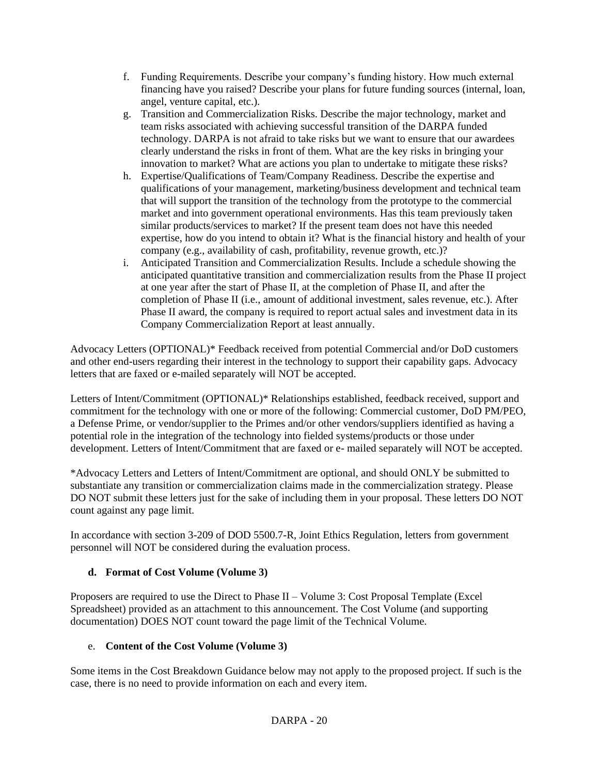- f. Funding Requirements. Describe your company's funding history. How much external financing have you raised? Describe your plans for future funding sources (internal, loan, angel, venture capital, etc.).
- g. Transition and Commercialization Risks. Describe the major technology, market and team risks associated with achieving successful transition of the DARPA funded technology. DARPA is not afraid to take risks but we want to ensure that our awardees clearly understand the risks in front of them. What are the key risks in bringing your innovation to market? What are actions you plan to undertake to mitigate these risks?
- h. Expertise/Qualifications of Team/Company Readiness. Describe the expertise and qualifications of your management, marketing/business development and technical team that will support the transition of the technology from the prototype to the commercial market and into government operational environments. Has this team previously taken similar products/services to market? If the present team does not have this needed expertise, how do you intend to obtain it? What is the financial history and health of your company (e.g., availability of cash, profitability, revenue growth, etc.)?
- i. Anticipated Transition and Commercialization Results. Include a schedule showing the anticipated quantitative transition and commercialization results from the Phase II project at one year after the start of Phase II, at the completion of Phase II, and after the completion of Phase II (i.e., amount of additional investment, sales revenue, etc.). After Phase II award, the company is required to report actual sales and investment data in its Company Commercialization Report at least annually.

Advocacy Letters (OPTIONAL)\* Feedback received from potential Commercial and/or DoD customers and other end-users regarding their interest in the technology to support their capability gaps. Advocacy letters that are faxed or e-mailed separately will NOT be accepted.

Letters of Intent/Commitment (OPTIONAL)\* Relationships established, feedback received, support and commitment for the technology with one or more of the following: Commercial customer, DoD PM/PEO, a Defense Prime, or vendor/supplier to the Primes and/or other vendors/suppliers identified as having a potential role in the integration of the technology into fielded systems/products or those under development. Letters of Intent/Commitment that are faxed or e- mailed separately will NOT be accepted.

\*Advocacy Letters and Letters of Intent/Commitment are optional, and should ONLY be submitted to substantiate any transition or commercialization claims made in the commercialization strategy. Please DO NOT submit these letters just for the sake of including them in your proposal. These letters DO NOT count against any page limit.

In accordance with section 3-209 of DOD 5500.7-R, Joint Ethics Regulation, letters from government personnel will NOT be considered during the evaluation process.

# **d. Format of Cost Volume (Volume 3)**

Proposers are required to use the Direct to Phase II – Volume 3: Cost Proposal Template (Excel Spreadsheet) provided as an attachment to this announcement. The Cost Volume (and supporting documentation) DOES NOT count toward the page limit of the Technical Volume.

## e. **Content of the Cost Volume (Volume 3)**

Some items in the Cost Breakdown Guidance below may not apply to the proposed project. If such is the case, there is no need to provide information on each and every item.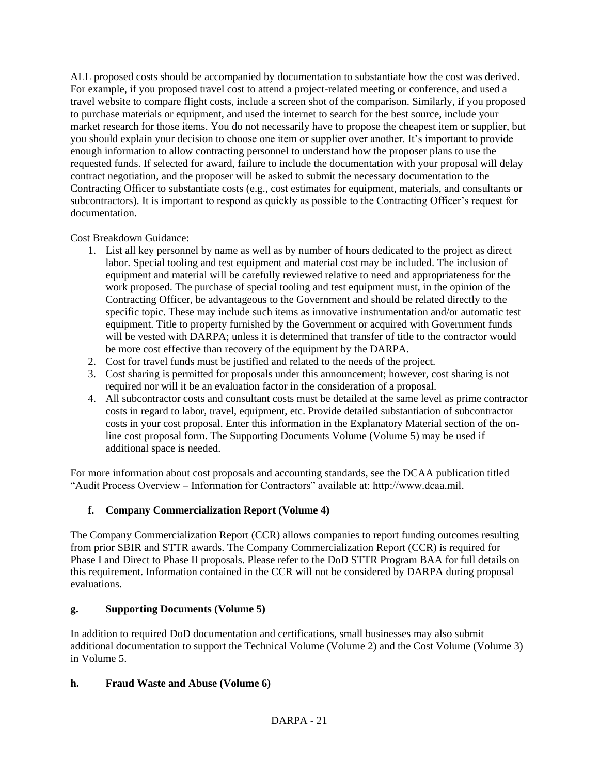ALL proposed costs should be accompanied by documentation to substantiate how the cost was derived. For example, if you proposed travel cost to attend a project-related meeting or conference, and used a travel website to compare flight costs, include a screen shot of the comparison. Similarly, if you proposed to purchase materials or equipment, and used the internet to search for the best source, include your market research for those items. You do not necessarily have to propose the cheapest item or supplier, but you should explain your decision to choose one item or supplier over another. It's important to provide enough information to allow contracting personnel to understand how the proposer plans to use the requested funds. If selected for award, failure to include the documentation with your proposal will delay contract negotiation, and the proposer will be asked to submit the necessary documentation to the Contracting Officer to substantiate costs (e.g., cost estimates for equipment, materials, and consultants or subcontractors). It is important to respond as quickly as possible to the Contracting Officer's request for documentation.

Cost Breakdown Guidance:

- 1. List all key personnel by name as well as by number of hours dedicated to the project as direct labor. Special tooling and test equipment and material cost may be included. The inclusion of equipment and material will be carefully reviewed relative to need and appropriateness for the work proposed. The purchase of special tooling and test equipment must, in the opinion of the Contracting Officer, be advantageous to the Government and should be related directly to the specific topic. These may include such items as innovative instrumentation and/or automatic test equipment. Title to property furnished by the Government or acquired with Government funds will be vested with DARPA; unless it is determined that transfer of title to the contractor would be more cost effective than recovery of the equipment by the DARPA.
- 2. Cost for travel funds must be justified and related to the needs of the project.
- 3. Cost sharing is permitted for proposals under this announcement; however, cost sharing is not required nor will it be an evaluation factor in the consideration of a proposal.
- 4. All subcontractor costs and consultant costs must be detailed at the same level as prime contractor costs in regard to labor, travel, equipment, etc. Provide detailed substantiation of subcontractor costs in your cost proposal. Enter this information in the Explanatory Material section of the online cost proposal form. The Supporting Documents Volume (Volume 5) may be used if additional space is needed.

For more information about cost proposals and accounting standards, see the DCAA publication titled "Audit Process Overview – Information for Contractors" available at: http://www.dcaa.mil.

# **f. Company Commercialization Report (Volume 4)**

The Company Commercialization Report (CCR) allows companies to report funding outcomes resulting from prior SBIR and STTR awards. The Company Commercialization Report (CCR) is required for Phase I and Direct to Phase II proposals. Please refer to the DoD STTR Program BAA for full details on this requirement. Information contained in the CCR will not be considered by DARPA during proposal evaluations.

# **g. Supporting Documents (Volume 5)**

In addition to required DoD documentation and certifications, small businesses may also submit additional documentation to support the Technical Volume (Volume 2) and the Cost Volume (Volume 3) in Volume 5.

# **h. Fraud Waste and Abuse (Volume 6)**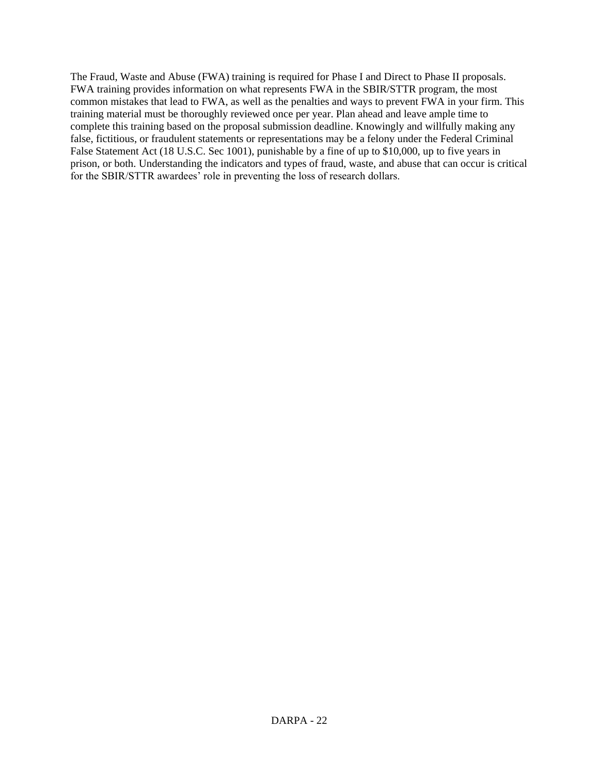The Fraud, Waste and Abuse (FWA) training is required for Phase I and Direct to Phase II proposals. FWA training provides information on what represents FWA in the SBIR/STTR program, the most common mistakes that lead to FWA, as well as the penalties and ways to prevent FWA in your firm. This training material must be thoroughly reviewed once per year. Plan ahead and leave ample time to complete this training based on the proposal submission deadline. Knowingly and willfully making any false, fictitious, or fraudulent statements or representations may be a felony under the Federal Criminal False Statement Act (18 U.S.C. Sec 1001), punishable by a fine of up to \$10,000, up to five years in prison, or both. Understanding the indicators and types of fraud, waste, and abuse that can occur is critical for the SBIR/STTR awardees' role in preventing the loss of research dollars.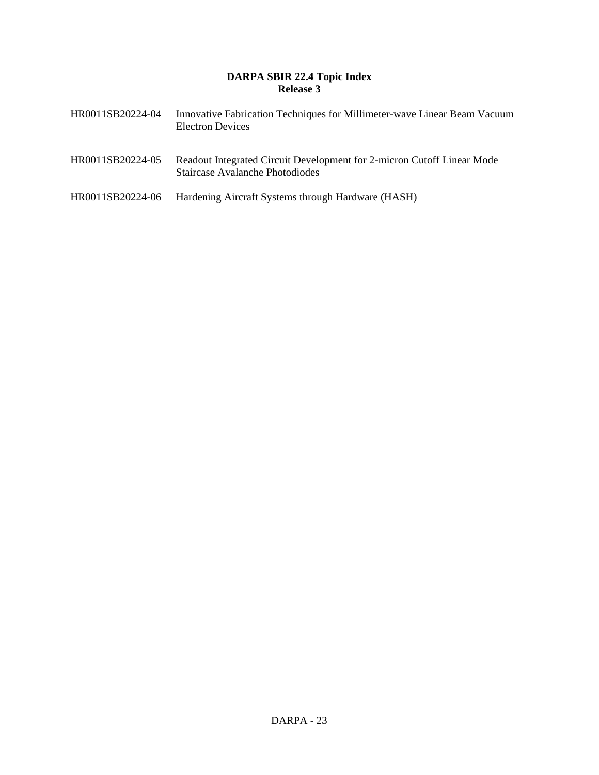## **DARPA SBIR 22.4 Topic Index Release 3**

| HR0011SB20224-04 | Innovative Fabrication Techniques for Millimeter-wave Linear Beam Vacuum<br><b>Electron Devices</b>       |
|------------------|-----------------------------------------------------------------------------------------------------------|
| HR0011SB20224-05 | Readout Integrated Circuit Development for 2-micron Cutoff Linear Mode<br>Staircase Avalanche Photodiodes |
| HR0011SB20224-06 | Hardening Aircraft Systems through Hardware (HASH)                                                        |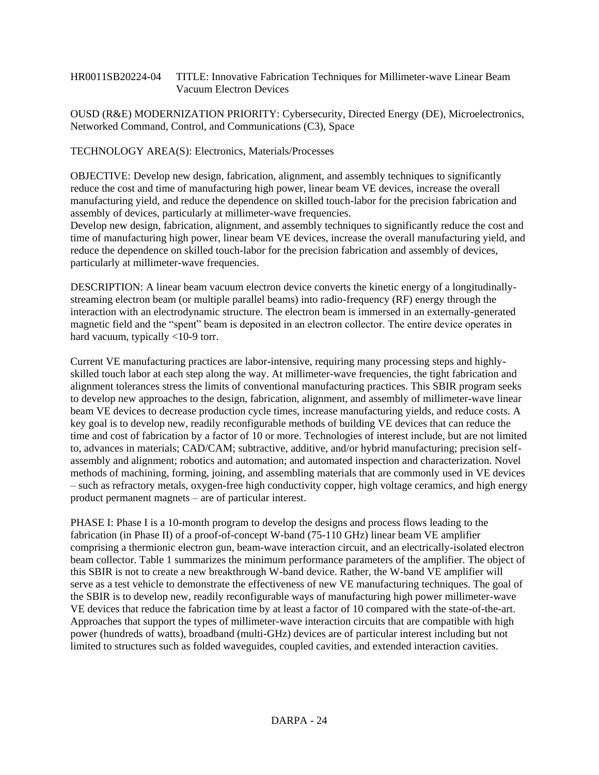#### HR0011SB20224-04 TITLE: Innovative Fabrication Techniques for Millimeter-wave Linear Beam Vacuum Electron Devices

OUSD (R&E) MODERNIZATION PRIORITY: Cybersecurity, Directed Energy (DE), Microelectronics, Networked Command, Control, and Communications (C3), Space

TECHNOLOGY AREA(S): Electronics, Materials/Processes

OBJECTIVE: Develop new design, fabrication, alignment, and assembly techniques to significantly reduce the cost and time of manufacturing high power, linear beam VE devices, increase the overall manufacturing yield, and reduce the dependence on skilled touch-labor for the precision fabrication and assembly of devices, particularly at millimeter-wave frequencies.

Develop new design, fabrication, alignment, and assembly techniques to significantly reduce the cost and time of manufacturing high power, linear beam VE devices, increase the overall manufacturing yield, and reduce the dependence on skilled touch-labor for the precision fabrication and assembly of devices, particularly at millimeter-wave frequencies.

DESCRIPTION: A linear beam vacuum electron device converts the kinetic energy of a longitudinallystreaming electron beam (or multiple parallel beams) into radio-frequency (RF) energy through the interaction with an electrodynamic structure. The electron beam is immersed in an externally-generated magnetic field and the "spent" beam is deposited in an electron collector. The entire device operates in hard vacuum, typically <10-9 torr.

Current VE manufacturing practices are labor-intensive, requiring many processing steps and highlyskilled touch labor at each step along the way. At millimeter-wave frequencies, the tight fabrication and alignment tolerances stress the limits of conventional manufacturing practices. This SBIR program seeks to develop new approaches to the design, fabrication, alignment, and assembly of millimeter-wave linear beam VE devices to decrease production cycle times, increase manufacturing yields, and reduce costs. A key goal is to develop new, readily reconfigurable methods of building VE devices that can reduce the time and cost of fabrication by a factor of 10 or more. Technologies of interest include, but are not limited to, advances in materials; CAD/CAM; subtractive, additive, and/or hybrid manufacturing; precision selfassembly and alignment; robotics and automation; and automated inspection and characterization. Novel methods of machining, forming, joining, and assembling materials that are commonly used in VE devices – such as refractory metals, oxygen-free high conductivity copper, high voltage ceramics, and high energy product permanent magnets – are of particular interest.

PHASE I: Phase I is a 10-month program to develop the designs and process flows leading to the fabrication (in Phase II) of a proof-of-concept W-band (75-110 GHz) linear beam VE amplifier comprising a thermionic electron gun, beam-wave interaction circuit, and an electrically-isolated electron beam collector. Table 1 summarizes the minimum performance parameters of the amplifier. The object of this SBIR is not to create a new breakthrough W-band device. Rather, the W-band VE amplifier will serve as a test vehicle to demonstrate the effectiveness of new VE manufacturing techniques. The goal of the SBIR is to develop new, readily reconfigurable ways of manufacturing high power millimeter-wave VE devices that reduce the fabrication time by at least a factor of 10 compared with the state-of-the-art. Approaches that support the types of millimeter-wave interaction circuits that are compatible with high power (hundreds of watts), broadband (multi-GHz) devices are of particular interest including but not limited to structures such as folded waveguides, coupled cavities, and extended interaction cavities.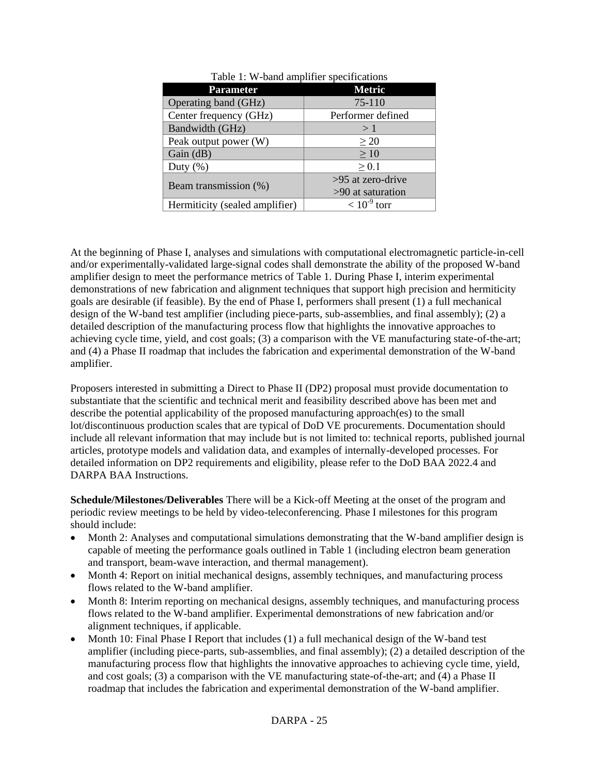| Table 1: W-band amplifier specifications |                   |  |
|------------------------------------------|-------------------|--|
| <b>Parameter</b>                         | <b>Metric</b>     |  |
| Operating band (GHz)                     | $75-110$          |  |
| Center frequency (GHz)                   | Performer defined |  |
| Bandwidth (GHz)                          | >1                |  |
| Peak output power (W)                    | $\geq 20$         |  |
| Gain (dB)                                | $\geq 10$         |  |
| Duty $(\% )$                             | $\geq 0.1$        |  |
|                                          | >95 at zero-drive |  |
| Beam transmission (%)                    | >90 at saturation |  |
| Hermiticity (sealed amplifier)           | $< 10^{-9}$ torr  |  |

At the beginning of Phase I, analyses and simulations with computational electromagnetic particle-in-cell and/or experimentally-validated large-signal codes shall demonstrate the ability of the proposed W-band amplifier design to meet the performance metrics of Table 1. During Phase I, interim experimental demonstrations of new fabrication and alignment techniques that support high precision and hermiticity goals are desirable (if feasible). By the end of Phase I, performers shall present (1) a full mechanical design of the W-band test amplifier (including piece-parts, sub-assemblies, and final assembly); (2) a detailed description of the manufacturing process flow that highlights the innovative approaches to achieving cycle time, yield, and cost goals; (3) a comparison with the VE manufacturing state-of-the-art; and (4) a Phase II roadmap that includes the fabrication and experimental demonstration of the W-band amplifier.

Proposers interested in submitting a Direct to Phase II (DP2) proposal must provide documentation to substantiate that the scientific and technical merit and feasibility described above has been met and describe the potential applicability of the proposed manufacturing approach(es) to the small lot/discontinuous production scales that are typical of DoD VE procurements. Documentation should include all relevant information that may include but is not limited to: technical reports, published journal articles, prototype models and validation data, and examples of internally-developed processes. For detailed information on DP2 requirements and eligibility, please refer to the DoD BAA 2022.4 and DARPA BAA Instructions.

**Schedule/Milestones/Deliverables** There will be a Kick-off Meeting at the onset of the program and periodic review meetings to be held by video-teleconferencing. Phase I milestones for this program should include:

- Month 2: Analyses and computational simulations demonstrating that the W-band amplifier design is capable of meeting the performance goals outlined in Table 1 (including electron beam generation and transport, beam-wave interaction, and thermal management).
- Month 4: Report on initial mechanical designs, assembly techniques, and manufacturing process flows related to the W-band amplifier.
- Month 8: Interim reporting on mechanical designs, assembly techniques, and manufacturing process flows related to the W-band amplifier. Experimental demonstrations of new fabrication and/or alignment techniques, if applicable.
- Month 10: Final Phase I Report that includes (1) a full mechanical design of the W-band test amplifier (including piece-parts, sub-assemblies, and final assembly); (2) a detailed description of the manufacturing process flow that highlights the innovative approaches to achieving cycle time, yield, and cost goals; (3) a comparison with the VE manufacturing state-of-the-art; and (4) a Phase II roadmap that includes the fabrication and experimental demonstration of the W-band amplifier.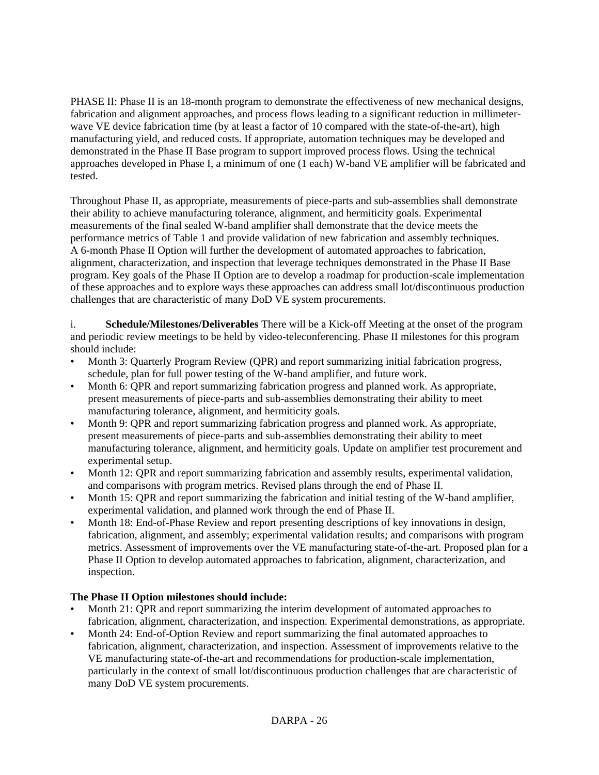PHASE II: Phase II is an 18-month program to demonstrate the effectiveness of new mechanical designs, fabrication and alignment approaches, and process flows leading to a significant reduction in millimeterwave VE device fabrication time (by at least a factor of 10 compared with the state-of-the-art), high manufacturing yield, and reduced costs. If appropriate, automation techniques may be developed and demonstrated in the Phase II Base program to support improved process flows. Using the technical approaches developed in Phase I, a minimum of one (1 each) W-band VE amplifier will be fabricated and tested.

Throughout Phase II, as appropriate, measurements of piece-parts and sub-assemblies shall demonstrate their ability to achieve manufacturing tolerance, alignment, and hermiticity goals. Experimental measurements of the final sealed W-band amplifier shall demonstrate that the device meets the performance metrics of Table 1 and provide validation of new fabrication and assembly techniques. A 6-month Phase II Option will further the development of automated approaches to fabrication, alignment, characterization, and inspection that leverage techniques demonstrated in the Phase II Base program. Key goals of the Phase II Option are to develop a roadmap for production-scale implementation of these approaches and to explore ways these approaches can address small lot/discontinuous production challenges that are characteristic of many DoD VE system procurements.

i. **Schedule/Milestones/Deliverables** There will be a Kick-off Meeting at the onset of the program and periodic review meetings to be held by video-teleconferencing. Phase II milestones for this program should include:

- Month 3: Quarterly Program Review (QPR) and report summarizing initial fabrication progress, schedule, plan for full power testing of the W-band amplifier, and future work.
- Month 6: QPR and report summarizing fabrication progress and planned work. As appropriate, present measurements of piece-parts and sub-assemblies demonstrating their ability to meet manufacturing tolerance, alignment, and hermiticity goals.
- Month 9: QPR and report summarizing fabrication progress and planned work. As appropriate, present measurements of piece-parts and sub-assemblies demonstrating their ability to meet manufacturing tolerance, alignment, and hermiticity goals. Update on amplifier test procurement and experimental setup.
- Month 12: QPR and report summarizing fabrication and assembly results, experimental validation, and comparisons with program metrics. Revised plans through the end of Phase II.
- Month 15: QPR and report summarizing the fabrication and initial testing of the W-band amplifier, experimental validation, and planned work through the end of Phase II.
- Month 18: End-of-Phase Review and report presenting descriptions of key innovations in design, fabrication, alignment, and assembly; experimental validation results; and comparisons with program metrics. Assessment of improvements over the VE manufacturing state-of-the-art. Proposed plan for a Phase II Option to develop automated approaches to fabrication, alignment, characterization, and inspection.

## **The Phase II Option milestones should include:**

- Month 21: QPR and report summarizing the interim development of automated approaches to fabrication, alignment, characterization, and inspection. Experimental demonstrations, as appropriate.
- Month 24: End-of-Option Review and report summarizing the final automated approaches to fabrication, alignment, characterization, and inspection. Assessment of improvements relative to the VE manufacturing state-of-the-art and recommendations for production-scale implementation, particularly in the context of small lot/discontinuous production challenges that are characteristic of many DoD VE system procurements.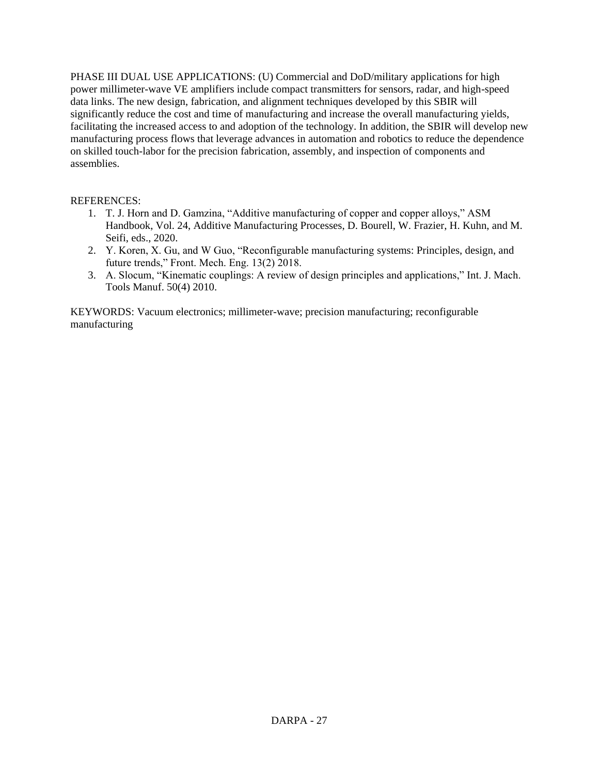PHASE III DUAL USE APPLICATIONS: (U) Commercial and DoD/military applications for high power millimeter-wave VE amplifiers include compact transmitters for sensors, radar, and high-speed data links. The new design, fabrication, and alignment techniques developed by this SBIR will significantly reduce the cost and time of manufacturing and increase the overall manufacturing yields, facilitating the increased access to and adoption of the technology. In addition, the SBIR will develop new manufacturing process flows that leverage advances in automation and robotics to reduce the dependence on skilled touch-labor for the precision fabrication, assembly, and inspection of components and assemblies.

## REFERENCES:

- 1. T. J. Horn and D. Gamzina, "Additive manufacturing of copper and copper alloys," ASM Handbook, Vol. 24, Additive Manufacturing Processes, D. Bourell, W. Frazier, H. Kuhn, and M. Seifi, eds., 2020.
- 2. Y. Koren, X. Gu, and W Guo, "Reconfigurable manufacturing systems: Principles, design, and future trends," Front. Mech. Eng. 13(2) 2018.
- 3. A. Slocum, "Kinematic couplings: A review of design principles and applications," Int. J. Mach. Tools Manuf. 50(4) 2010.

KEYWORDS: Vacuum electronics; millimeter-wave; precision manufacturing; reconfigurable manufacturing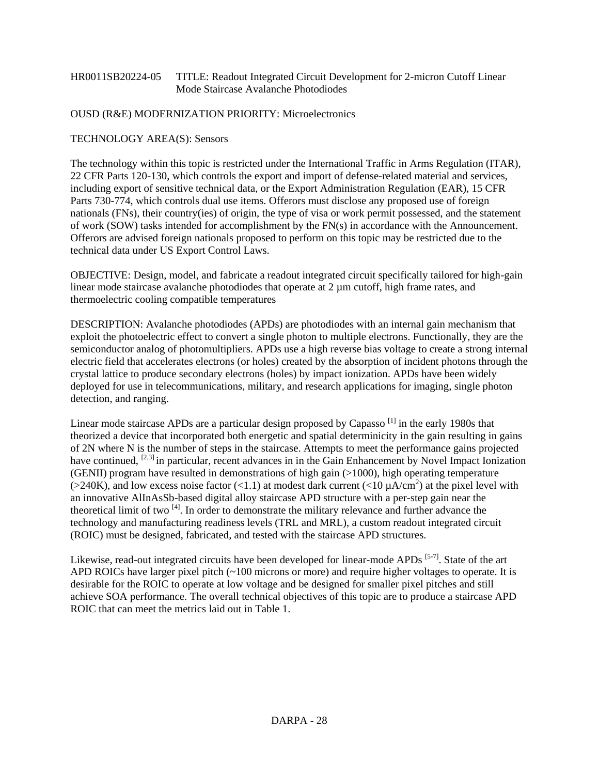#### HR0011SB20224-05 TITLE: Readout Integrated Circuit Development for 2-micron Cutoff Linear Mode Staircase Avalanche Photodiodes

## OUSD (R&E) MODERNIZATION PRIORITY: Microelectronics

#### TECHNOLOGY AREA(S): Sensors

The technology within this topic is restricted under the International Traffic in Arms Regulation (ITAR), 22 CFR Parts 120-130, which controls the export and import of defense-related material and services, including export of sensitive technical data, or the Export Administration Regulation (EAR), 15 CFR Parts 730-774, which controls dual use items. Offerors must disclose any proposed use of foreign nationals (FNs), their country(ies) of origin, the type of visa or work permit possessed, and the statement of work (SOW) tasks intended for accomplishment by the FN(s) in accordance with the Announcement. Offerors are advised foreign nationals proposed to perform on this topic may be restricted due to the technical data under US Export Control Laws.

OBJECTIVE: Design, model, and fabricate a readout integrated circuit specifically tailored for high-gain linear mode staircase avalanche photodiodes that operate at 2 µm cutoff, high frame rates, and thermoelectric cooling compatible temperatures

DESCRIPTION: Avalanche photodiodes (APDs) are photodiodes with an internal gain mechanism that exploit the photoelectric effect to convert a single photon to multiple electrons. Functionally, they are the semiconductor analog of photomultipliers. APDs use a high reverse bias voltage to create a strong internal electric field that accelerates electrons (or holes) created by the absorption of incident photons through the crystal lattice to produce secondary electrons (holes) by impact ionization. APDs have been widely deployed for use in telecommunications, military, and research applications for imaging, single photon detection, and ranging.

Linear mode staircase APDs are a particular design proposed by Capasso<sup>[1]</sup> in the early 1980s that theorized a device that incorporated both energetic and spatial determinicity in the gain resulting in gains of 2N where N is the number of steps in the staircase. Attempts to meet the performance gains projected have continued, <sup>[2,3]</sup> in particular, recent advances in in the Gain Enhancement by Novel Impact Ionization (GENII) program have resulted in demonstrations of high gain (>1000), high operating temperature ( $>$ 240K), and low excess noise factor (<1.1) at modest dark current (<10  $\mu$ A/cm<sup>2</sup>) at the pixel level with an innovative AlInAsSb-based digital alloy staircase APD structure with a per-step gain near the theoretical limit of two  $^{[4]}$ . In order to demonstrate the military relevance and further advance the technology and manufacturing readiness levels (TRL and MRL), a custom readout integrated circuit (ROIC) must be designed, fabricated, and tested with the staircase APD structures.

Likewise, read-out integrated circuits have been developed for linear-mode APDs <sup>[5-7]</sup>. State of the art APD ROICs have larger pixel pitch  $(\sim 100$  microns or more) and require higher voltages to operate. It is desirable for the ROIC to operate at low voltage and be designed for smaller pixel pitches and still achieve SOA performance. The overall technical objectives of this topic are to produce a staircase APD ROIC that can meet the metrics laid out in Table 1.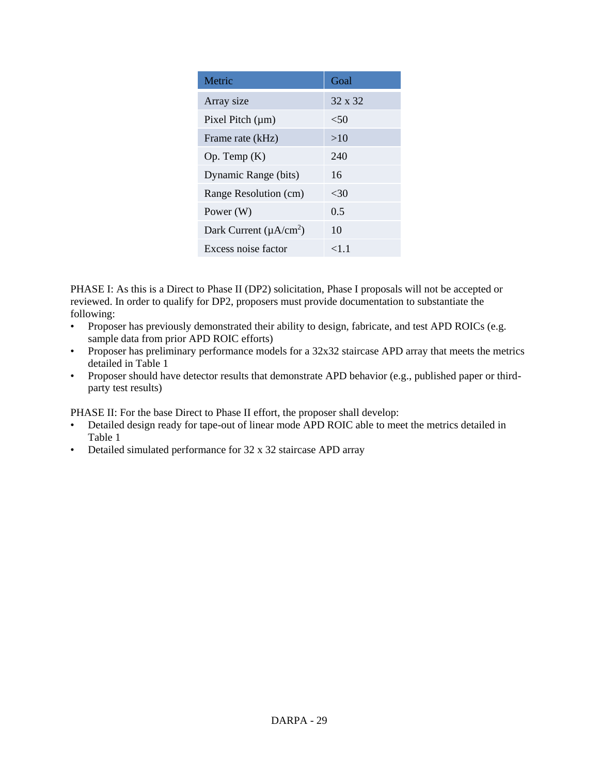| Metric                                   | Goal    |
|------------------------------------------|---------|
| Array size                               | 32 x 32 |
| Pixel Pitch $(\mu m)$                    | < 50    |
| Frame rate (kHz)                         | >10     |
| Op. Temp $(K)$                           | 240     |
| Dynamic Range (bits)                     | 16      |
| Range Resolution (cm)                    | <30     |
| Power (W)                                | 0.5     |
| Dark Current ( $\mu$ A/cm <sup>2</sup> ) | 10      |
| Excess noise factor                      | <1 1    |

PHASE I: As this is a Direct to Phase II (DP2) solicitation, Phase I proposals will not be accepted or reviewed. In order to qualify for DP2, proposers must provide documentation to substantiate the following:

- Proposer has previously demonstrated their ability to design, fabricate, and test APD ROICs (e.g. sample data from prior APD ROIC efforts)
- Proposer has preliminary performance models for a 32x32 staircase APD array that meets the metrics detailed in Table 1
- Proposer should have detector results that demonstrate APD behavior (e.g., published paper or thirdparty test results)

PHASE II: For the base Direct to Phase II effort, the proposer shall develop:

- Detailed design ready for tape-out of linear mode APD ROIC able to meet the metrics detailed in Table 1
- Detailed simulated performance for 32 x 32 staircase APD array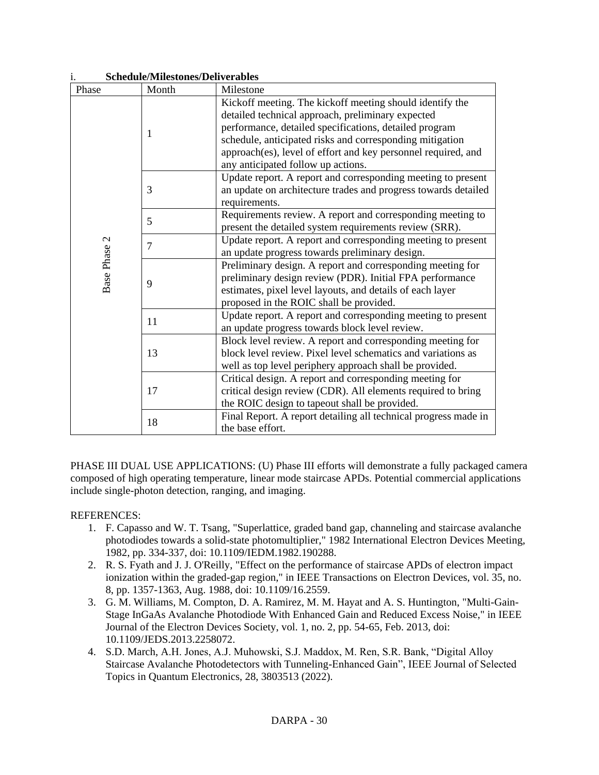| <b>Schedule/Milestones/Deliverables</b><br>1. |       |                                                                                                                                                                                                                                |  |  |
|-----------------------------------------------|-------|--------------------------------------------------------------------------------------------------------------------------------------------------------------------------------------------------------------------------------|--|--|
| Phase                                         | Month | Milestone                                                                                                                                                                                                                      |  |  |
| 1                                             |       | Kickoff meeting. The kickoff meeting should identify the<br>detailed technical approach, preliminary expected                                                                                                                  |  |  |
|                                               |       | performance, detailed specifications, detailed program<br>schedule, anticipated risks and corresponding mitigation<br>approach(es), level of effort and key personnel required, and<br>any anticipated follow up actions.      |  |  |
|                                               | 3     | Update report. A report and corresponding meeting to present<br>an update on architecture trades and progress towards detailed<br>requirements.                                                                                |  |  |
|                                               | 5     | Requirements review. A report and corresponding meeting to<br>present the detailed system requirements review (SRR).                                                                                                           |  |  |
|                                               | 7     | Update report. A report and corresponding meeting to present<br>an update progress towards preliminary design.                                                                                                                 |  |  |
| Base Phase 2                                  | 9     | Preliminary design. A report and corresponding meeting for<br>preliminary design review (PDR). Initial FPA performance<br>estimates, pixel level layouts, and details of each layer<br>proposed in the ROIC shall be provided. |  |  |
|                                               | 11    | Update report. A report and corresponding meeting to present<br>an update progress towards block level review.                                                                                                                 |  |  |
|                                               | 13    | Block level review. A report and corresponding meeting for<br>block level review. Pixel level schematics and variations as<br>well as top level periphery approach shall be provided.                                          |  |  |
|                                               | 17    | Critical design. A report and corresponding meeting for<br>critical design review (CDR). All elements required to bring<br>the ROIC design to tapeout shall be provided.                                                       |  |  |
|                                               | 18    | Final Report. A report detailing all technical progress made in<br>the base effort.                                                                                                                                            |  |  |

PHASE III DUAL USE APPLICATIONS: (U) Phase III efforts will demonstrate a fully packaged camera composed of high operating temperature, linear mode staircase APDs. Potential commercial applications include single-photon detection, ranging, and imaging.

## REFERENCES:

- 1. F. Capasso and W. T. Tsang, "Superlattice, graded band gap, channeling and staircase avalanche photodiodes towards a solid-state photomultiplier," 1982 International Electron Devices Meeting, 1982, pp. 334-337, doi: 10.1109/IEDM.1982.190288.
- 2. R. S. Fyath and J. J. O'Reilly, "Effect on the performance of staircase APDs of electron impact ionization within the graded-gap region," in IEEE Transactions on Electron Devices, vol. 35, no. 8, pp. 1357-1363, Aug. 1988, doi: 10.1109/16.2559.
- 3. G. M. Williams, M. Compton, D. A. Ramirez, M. M. Hayat and A. S. Huntington, "Multi-Gain-Stage InGaAs Avalanche Photodiode With Enhanced Gain and Reduced Excess Noise," in IEEE Journal of the Electron Devices Society, vol. 1, no. 2, pp. 54-65, Feb. 2013, doi: 10.1109/JEDS.2013.2258072.
- 4. S.D. March, A.H. Jones, A.J. Muhowski, S.J. Maddox, M. Ren, S.R. Bank, "Digital Alloy Staircase Avalanche Photodetectors with Tunneling-Enhanced Gain", IEEE Journal of Selected Topics in Quantum Electronics, 28, 3803513 (2022).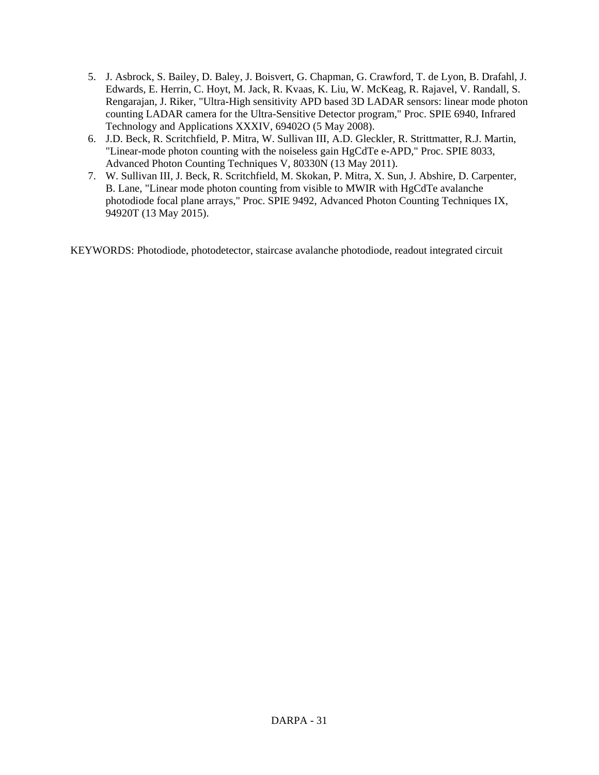- 5. J. Asbrock, S. Bailey, D. Baley, J. Boisvert, G. Chapman, G. Crawford, T. de Lyon, B. Drafahl, J. Edwards, E. Herrin, C. Hoyt, M. Jack, R. Kvaas, K. Liu, W. McKeag, R. Rajavel, V. Randall, S. Rengarajan, J. Riker, "Ultra-High sensitivity APD based 3D LADAR sensors: linear mode photon counting LADAR camera for the Ultra-Sensitive Detector program," Proc. SPIE 6940, Infrared Technology and Applications XXXIV, 69402O (5 May 2008).
- 6. J.D. Beck, R. Scritchfield, P. Mitra, W. Sullivan III, A.D. Gleckler, R. Strittmatter, R.J. Martin, "Linear-mode photon counting with the noiseless gain HgCdTe e-APD," Proc. SPIE 8033, Advanced Photon Counting Techniques V, 80330N (13 May 2011).
- 7. W. Sullivan III, J. Beck, R. Scritchfield, M. Skokan, P. Mitra, X. Sun, J. Abshire, D. Carpenter, B. Lane, "Linear mode photon counting from visible to MWIR with HgCdTe avalanche photodiode focal plane arrays," Proc. SPIE 9492, Advanced Photon Counting Techniques IX, 94920T (13 May 2015).

KEYWORDS: Photodiode, photodetector, staircase avalanche photodiode, readout integrated circuit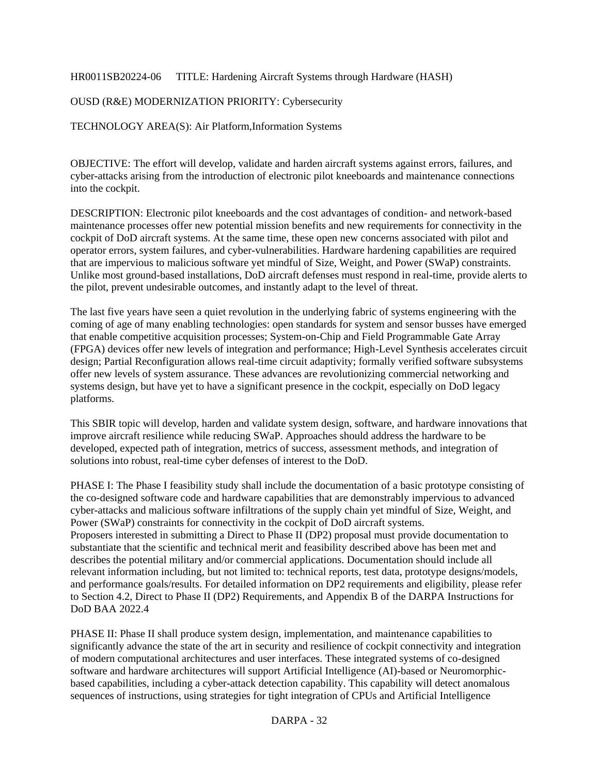HR0011SB20224-06 TITLE: Hardening Aircraft Systems through Hardware (HASH)

OUSD (R&E) MODERNIZATION PRIORITY: Cybersecurity

TECHNOLOGY AREA(S): Air Platform,Information Systems

OBJECTIVE: The effort will develop, validate and harden aircraft systems against errors, failures, and cyber-attacks arising from the introduction of electronic pilot kneeboards and maintenance connections into the cockpit.

DESCRIPTION: Electronic pilot kneeboards and the cost advantages of condition- and network-based maintenance processes offer new potential mission benefits and new requirements for connectivity in the cockpit of DoD aircraft systems. At the same time, these open new concerns associated with pilot and operator errors, system failures, and cyber-vulnerabilities. Hardware hardening capabilities are required that are impervious to malicious software yet mindful of Size, Weight, and Power (SWaP) constraints. Unlike most ground-based installations, DoD aircraft defenses must respond in real-time, provide alerts to the pilot, prevent undesirable outcomes, and instantly adapt to the level of threat.

The last five years have seen a quiet revolution in the underlying fabric of systems engineering with the coming of age of many enabling technologies: open standards for system and sensor busses have emerged that enable competitive acquisition processes; System-on-Chip and Field Programmable Gate Array (FPGA) devices offer new levels of integration and performance; High-Level Synthesis accelerates circuit design; Partial Reconfiguration allows real-time circuit adaptivity; formally verified software subsystems offer new levels of system assurance. These advances are revolutionizing commercial networking and systems design, but have yet to have a significant presence in the cockpit, especially on DoD legacy platforms.

This SBIR topic will develop, harden and validate system design, software, and hardware innovations that improve aircraft resilience while reducing SWaP. Approaches should address the hardware to be developed, expected path of integration, metrics of success, assessment methods, and integration of solutions into robust, real-time cyber defenses of interest to the DoD.

PHASE I: The Phase I feasibility study shall include the documentation of a basic prototype consisting of the co-designed software code and hardware capabilities that are demonstrably impervious to advanced cyber-attacks and malicious software infiltrations of the supply chain yet mindful of Size, Weight, and Power (SWaP) constraints for connectivity in the cockpit of DoD aircraft systems. Proposers interested in submitting a Direct to Phase II (DP2) proposal must provide documentation to substantiate that the scientific and technical merit and feasibility described above has been met and describes the potential military and/or commercial applications. Documentation should include all relevant information including, but not limited to: technical reports, test data, prototype designs/models, and performance goals/results. For detailed information on DP2 requirements and eligibility, please refer to Section 4.2, Direct to Phase II (DP2) Requirements, and Appendix B of the DARPA Instructions for DoD BAA 2022.4

PHASE II: Phase II shall produce system design, implementation, and maintenance capabilities to significantly advance the state of the art in security and resilience of cockpit connectivity and integration of modern computational architectures and user interfaces. These integrated systems of co-designed software and hardware architectures will support Artificial Intelligence (AI)-based or Neuromorphicbased capabilities, including a cyber-attack detection capability. This capability will detect anomalous sequences of instructions, using strategies for tight integration of CPUs and Artificial Intelligence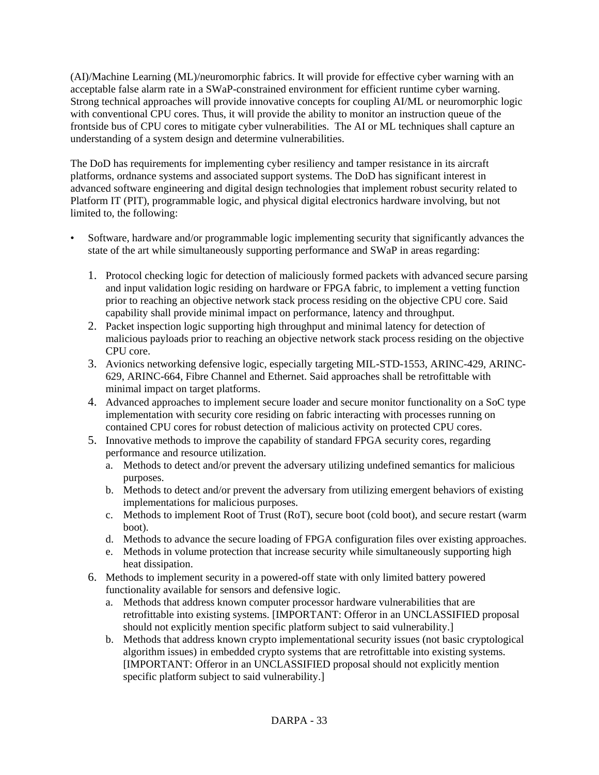(AI)/Machine Learning (ML)/neuromorphic fabrics. It will provide for effective cyber warning with an acceptable false alarm rate in a SWaP-constrained environment for efficient runtime cyber warning. Strong technical approaches will provide innovative concepts for coupling AI/ML or neuromorphic logic with conventional CPU cores. Thus, it will provide the ability to monitor an instruction queue of the frontside bus of CPU cores to mitigate cyber vulnerabilities. The AI or ML techniques shall capture an understanding of a system design and determine vulnerabilities.

The DoD has requirements for implementing cyber resiliency and tamper resistance in its aircraft platforms, ordnance systems and associated support systems. The DoD has significant interest in advanced software engineering and digital design technologies that implement robust security related to Platform IT (PIT), programmable logic, and physical digital electronics hardware involving, but not limited to, the following:

- Software, hardware and/or programmable logic implementing security that significantly advances the state of the art while simultaneously supporting performance and SWaP in areas regarding:
	- 1. Protocol checking logic for detection of maliciously formed packets with advanced secure parsing and input validation logic residing on hardware or FPGA fabric, to implement a vetting function prior to reaching an objective network stack process residing on the objective CPU core. Said capability shall provide minimal impact on performance, latency and throughput.
	- 2. Packet inspection logic supporting high throughput and minimal latency for detection of malicious payloads prior to reaching an objective network stack process residing on the objective CPU core.
	- 3. Avionics networking defensive logic, especially targeting MIL-STD-1553, ARINC-429, ARINC-629, ARINC-664, Fibre Channel and Ethernet. Said approaches shall be retrofittable with minimal impact on target platforms.
	- 4. Advanced approaches to implement secure loader and secure monitor functionality on a SoC type implementation with security core residing on fabric interacting with processes running on contained CPU cores for robust detection of malicious activity on protected CPU cores.
	- 5. Innovative methods to improve the capability of standard FPGA security cores, regarding performance and resource utilization.
		- a. Methods to detect and/or prevent the adversary utilizing undefined semantics for malicious purposes.
		- b. Methods to detect and/or prevent the adversary from utilizing emergent behaviors of existing implementations for malicious purposes.
		- c. Methods to implement Root of Trust (RoT), secure boot (cold boot), and secure restart (warm boot).
		- d. Methods to advance the secure loading of FPGA configuration files over existing approaches.
		- e. Methods in volume protection that increase security while simultaneously supporting high heat dissipation.
	- 6. Methods to implement security in a powered-off state with only limited battery powered functionality available for sensors and defensive logic.
		- a. Methods that address known computer processor hardware vulnerabilities that are retrofittable into existing systems. [IMPORTANT: Offeror in an UNCLASSIFIED proposal should not explicitly mention specific platform subject to said vulnerability.]
		- b. Methods that address known crypto implementational security issues (not basic cryptological algorithm issues) in embedded crypto systems that are retrofittable into existing systems. [IMPORTANT: Offeror in an UNCLASSIFIED proposal should not explicitly mention specific platform subject to said vulnerability.]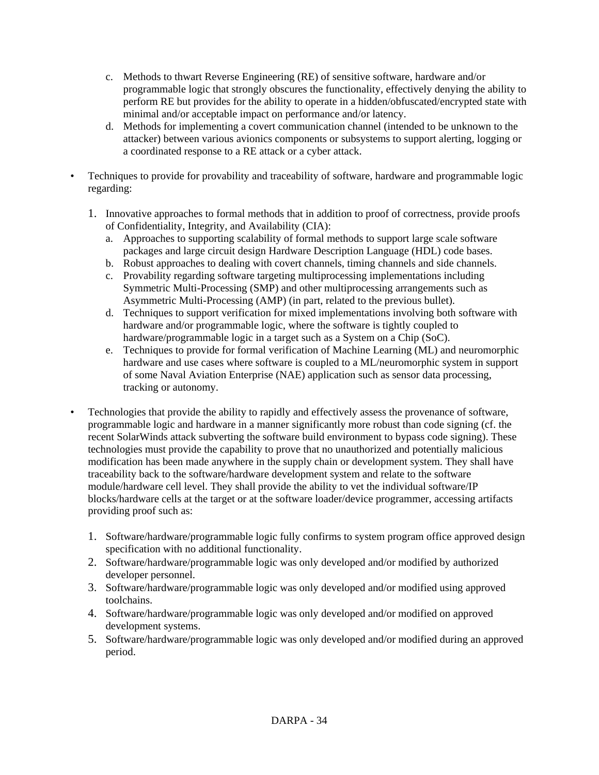- c. Methods to thwart Reverse Engineering (RE) of sensitive software, hardware and/or programmable logic that strongly obscures the functionality, effectively denying the ability to perform RE but provides for the ability to operate in a hidden/obfuscated/encrypted state with minimal and/or acceptable impact on performance and/or latency.
- d. Methods for implementing a covert communication channel (intended to be unknown to the attacker) between various avionics components or subsystems to support alerting, logging or a coordinated response to a RE attack or a cyber attack.
- Techniques to provide for provability and traceability of software, hardware and programmable logic regarding:
	- 1. Innovative approaches to formal methods that in addition to proof of correctness, provide proofs of Confidentiality, Integrity, and Availability (CIA):
		- a. Approaches to supporting scalability of formal methods to support large scale software packages and large circuit design Hardware Description Language (HDL) code bases.
		- b. Robust approaches to dealing with covert channels, timing channels and side channels.
		- c. Provability regarding software targeting multiprocessing implementations including Symmetric Multi-Processing (SMP) and other multiprocessing arrangements such as Asymmetric Multi-Processing (AMP) (in part, related to the previous bullet).
		- d. Techniques to support verification for mixed implementations involving both software with hardware and/or programmable logic, where the software is tightly coupled to hardware/programmable logic in a target such as a System on a Chip (SoC).
		- e. Techniques to provide for formal verification of Machine Learning (ML) and neuromorphic hardware and use cases where software is coupled to a ML/neuromorphic system in support of some Naval Aviation Enterprise (NAE) application such as sensor data processing, tracking or autonomy.
- Technologies that provide the ability to rapidly and effectively assess the provenance of software, programmable logic and hardware in a manner significantly more robust than code signing (cf. the recent SolarWinds attack subverting the software build environment to bypass code signing). These technologies must provide the capability to prove that no unauthorized and potentially malicious modification has been made anywhere in the supply chain or development system. They shall have traceability back to the software/hardware development system and relate to the software module/hardware cell level. They shall provide the ability to vet the individual software/IP blocks/hardware cells at the target or at the software loader/device programmer, accessing artifacts providing proof such as:
	- 1. Software/hardware/programmable logic fully confirms to system program office approved design specification with no additional functionality.
	- 2. Software/hardware/programmable logic was only developed and/or modified by authorized developer personnel.
	- 3. Software/hardware/programmable logic was only developed and/or modified using approved toolchains.
	- 4. Software/hardware/programmable logic was only developed and/or modified on approved development systems.
	- 5. Software/hardware/programmable logic was only developed and/or modified during an approved period.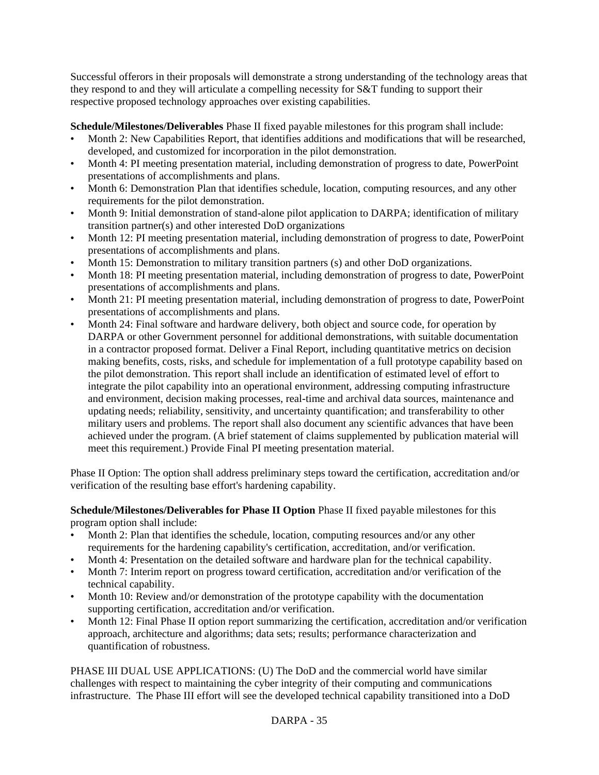Successful offerors in their proposals will demonstrate a strong understanding of the technology areas that they respond to and they will articulate a compelling necessity for S&T funding to support their respective proposed technology approaches over existing capabilities.

**Schedule/Milestones/Deliverables** Phase II fixed payable milestones for this program shall include:

- Month 2: New Capabilities Report, that identifies additions and modifications that will be researched, developed, and customized for incorporation in the pilot demonstration.
- Month 4: PI meeting presentation material, including demonstration of progress to date, PowerPoint presentations of accomplishments and plans.
- Month 6: Demonstration Plan that identifies schedule, location, computing resources, and any other requirements for the pilot demonstration.
- Month 9: Initial demonstration of stand-alone pilot application to DARPA; identification of military transition partner(s) and other interested DoD organizations
- Month 12: PI meeting presentation material, including demonstration of progress to date, PowerPoint presentations of accomplishments and plans.
- Month 15: Demonstration to military transition partners (s) and other DoD organizations.
- Month 18: PI meeting presentation material, including demonstration of progress to date, PowerPoint presentations of accomplishments and plans.
- Month 21: PI meeting presentation material, including demonstration of progress to date, PowerPoint presentations of accomplishments and plans.
- Month 24: Final software and hardware delivery, both object and source code, for operation by DARPA or other Government personnel for additional demonstrations, with suitable documentation in a contractor proposed format. Deliver a Final Report, including quantitative metrics on decision making benefits, costs, risks, and schedule for implementation of a full prototype capability based on the pilot demonstration. This report shall include an identification of estimated level of effort to integrate the pilot capability into an operational environment, addressing computing infrastructure and environment, decision making processes, real-time and archival data sources, maintenance and updating needs; reliability, sensitivity, and uncertainty quantification; and transferability to other military users and problems. The report shall also document any scientific advances that have been achieved under the program. (A brief statement of claims supplemented by publication material will meet this requirement.) Provide Final PI meeting presentation material.

Phase II Option: The option shall address preliminary steps toward the certification, accreditation and/or verification of the resulting base effort's hardening capability.

**Schedule/Milestones/Deliverables for Phase II Option** Phase II fixed payable milestones for this program option shall include:

- Month 2: Plan that identifies the schedule, location, computing resources and/or any other requirements for the hardening capability's certification, accreditation, and/or verification.
- Month 4: Presentation on the detailed software and hardware plan for the technical capability.
- Month 7: Interim report on progress toward certification, accreditation and/or verification of the technical capability.
- Month 10: Review and/or demonstration of the prototype capability with the documentation supporting certification, accreditation and/or verification.
- Month 12: Final Phase II option report summarizing the certification, accreditation and/or verification approach, architecture and algorithms; data sets; results; performance characterization and quantification of robustness.

PHASE III DUAL USE APPLICATIONS: (U) The DoD and the commercial world have similar challenges with respect to maintaining the cyber integrity of their computing and communications infrastructure. The Phase III effort will see the developed technical capability transitioned into a DoD